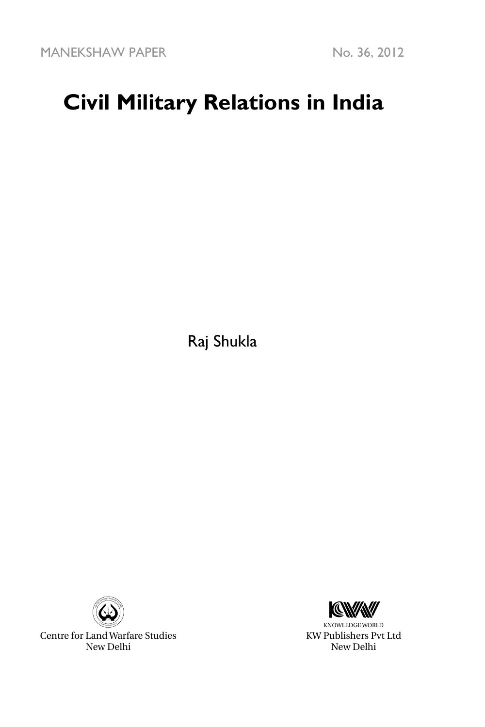MANEKSHAW PAPER No. 36, 2012

# **Civil Military Relations in India**

Raj Shukla



Centre for Land Warfare Studies New Delhi



KNOWLEDGE WORLD KW Publishers Pvt Ltd New Delhi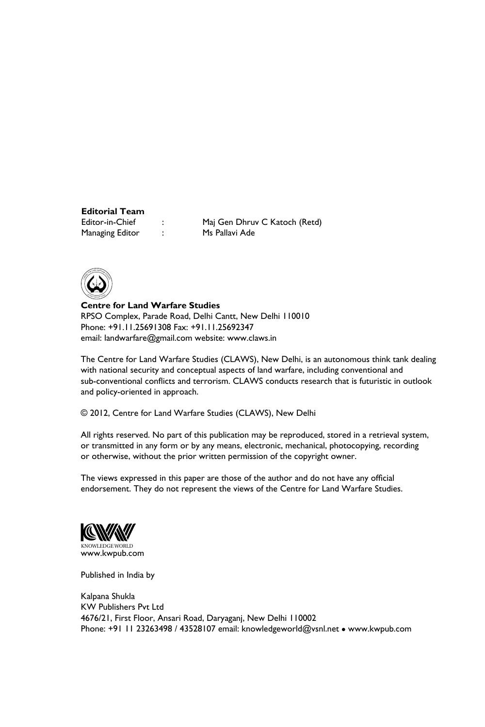### **Editorial Team**

Managing Editor : Ms Pallavi Ade

: Maj Gen Dhruv C Katoch (Retd)



**Centre for Land Warfare Studies**  RPSO Complex, Parade Road, Delhi Cantt, New Delhi 110010 Phone: +91.11.25691308 Fax: +91.11.25692347 email: landwarfare@gmail.com website: www.claws.in

The Centre for Land Warfare Studies (CLAWS), New Delhi, is an autonomous think tank dealing with national security and conceptual aspects of land warfare, including conventional and sub-conventional conflicts and terrorism. CLAWS conducts research that is futuristic in outlook and policy-oriented in approach.

© 2012, Centre for Land Warfare Studies (CLAWS), New Delhi

All rights reserved. No part of this publication may be reproduced, stored in a retrieval system, or transmitted in any form or by any means, electronic, mechanical, photocopying, recording or otherwise, without the prior written permission of the copyright owner.

The views expressed in this paper are those of the author and do not have any official endorsement. They do not represent the views of the Centre for Land Warfare Studies.



Published in India by

Kalpana Shukla KW Publishers Pvt Ltd 4676/21, First Floor, Ansari Road, Daryaganj, New Delhi 110002 Phone: +91 11 23263498 / 43528107 email: knowledgeworld@vsnl.net • www.kwpub.com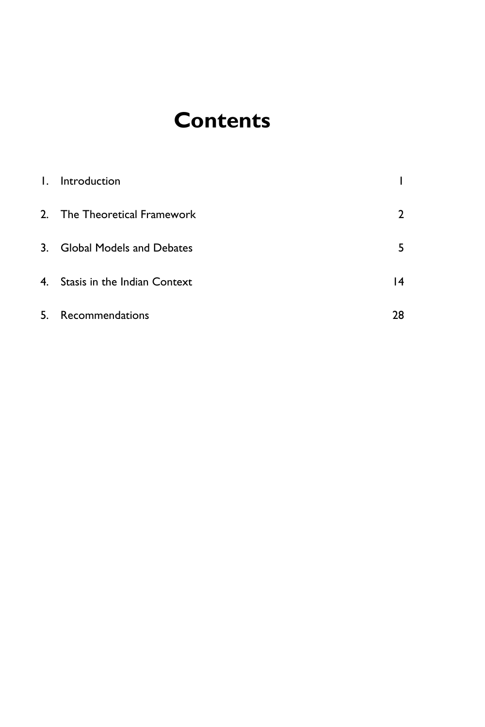## **Contents**

| 1. Introduction                 |              |
|---------------------------------|--------------|
| 2. The Theoretical Framework    | $\mathbf{c}$ |
| 3. Global Models and Debates    | 5            |
| 4. Stasis in the Indian Context | 4            |
| 5. Recommendations              | 28           |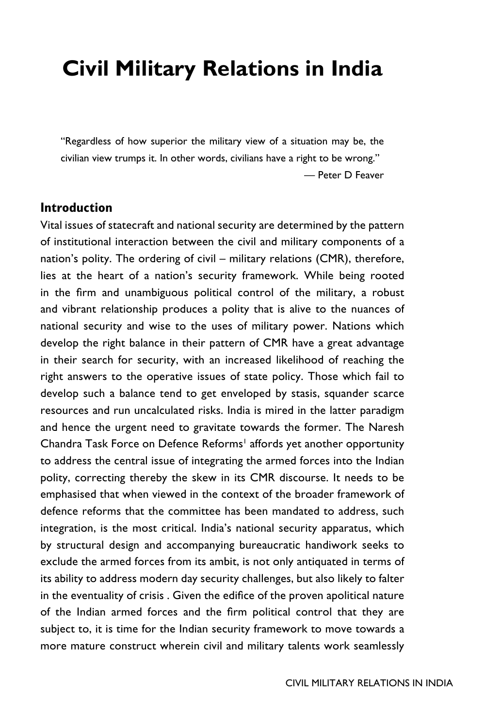# **Civil Military Relations in India**

"Regardless of how superior the military view of a situation may be, the civilian view trumps it. In other words, civilians have a right to be wrong." — Peter D Feaver

#### **Introduction**

Vital issues of statecraft and national security are determined by the pattern of institutional interaction between the civil and military components of a nation's polity. The ordering of civil – military relations (CMR), therefore, lies at the heart of a nation's security framework. While being rooted in the firm and unambiguous political control of the military, a robust and vibrant relationship produces a polity that is alive to the nuances of national security and wise to the uses of military power. Nations which develop the right balance in their pattern of CMR have a great advantage in their search for security, with an increased likelihood of reaching the right answers to the operative issues of state policy. Those which fail to develop such a balance tend to get enveloped by stasis, squander scarce resources and run uncalculated risks. India is mired in the latter paradigm and hence the urgent need to gravitate towards the former. The Naresh Chandra Task Force on Defence Reforms<sup>1</sup> affords yet another opportunity to address the central issue of integrating the armed forces into the Indian polity, correcting thereby the skew in its CMR discourse. It needs to be emphasised that when viewed in the context of the broader framework of defence reforms that the committee has been mandated to address, such integration, is the most critical. India's national security apparatus, which by structural design and accompanying bureaucratic handiwork seeks to exclude the armed forces from its ambit, is not only antiquated in terms of its ability to address modern day security challenges, but also likely to falter in the eventuality of crisis . Given the edifice of the proven apolitical nature of the Indian armed forces and the firm political control that they are subject to, it is time for the Indian security framework to move towards a more mature construct wherein civil and military talents work seamlessly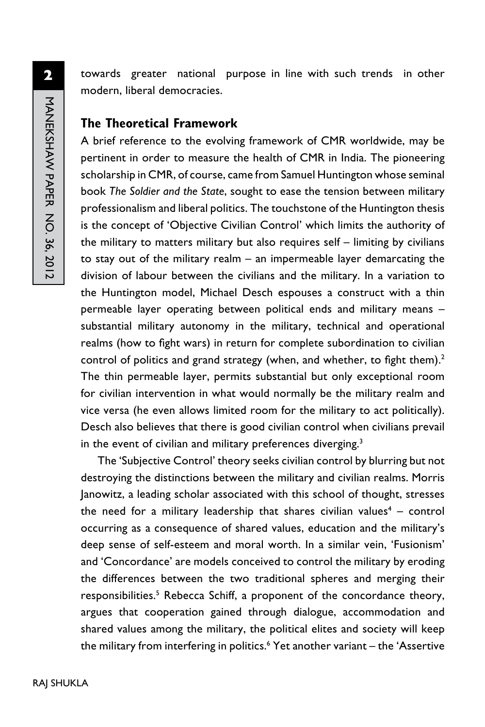towards greater national purpose in line with such trends in other modern, liberal democracies.

### **The Theoretical Framework**

A brief reference to the evolving framework of CMR worldwide, may be pertinent in order to measure the health of CMR in India. The pioneering scholarship in CMR, of course, came from Samuel Huntington whose seminal book *The Soldier and the State*, sought to ease the tension between military professionalism and liberal politics. The touchstone of the Huntington thesis is the concept of 'Objective Civilian Control' which limits the authority of the military to matters military but also requires self – limiting by civilians to stay out of the military realm – an impermeable layer demarcating the division of labour between the civilians and the military. In a variation to the Huntington model, Michael Desch espouses a construct with a thin permeable layer operating between political ends and military means – substantial military autonomy in the military, technical and operational realms (how to fight wars) in return for complete subordination to civilian control of politics and grand strategy (when, and whether, to fight them).<sup>2</sup> The thin permeable layer, permits substantial but only exceptional room for civilian intervention in what would normally be the military realm and vice versa (he even allows limited room for the military to act politically). Desch also believes that there is good civilian control when civilians prevail in the event of civilian and military preferences diverging.<sup>3</sup>

The 'Subjective Control' theory seeks civilian control by blurring but not destroying the distinctions between the military and civilian realms. Morris Janowitz, a leading scholar associated with this school of thought, stresses the need for a military leadership that shares civilian values<sup>4</sup> – control occurring as a consequence of shared values, education and the military's deep sense of self-esteem and moral worth. In a similar vein, 'Fusionism' and 'Concordance' are models conceived to control the military by eroding the differences between the two traditional spheres and merging their responsibilities.<sup>5</sup> Rebecca Schiff, a proponent of the concordance theory, argues that cooperation gained through dialogue, accommodation and shared values among the military, the political elites and society will keep the military from interfering in politics.<sup>6</sup> Yet another variant – the 'Assertive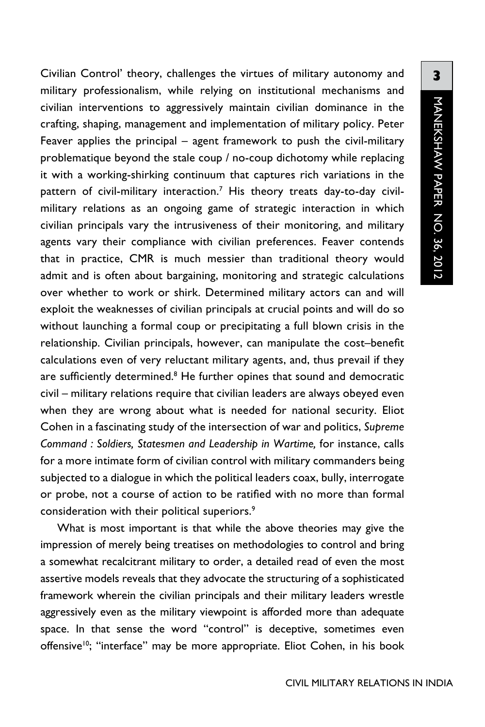Civilian Control' theory, challenges the virtues of military autonomy and military professionalism, while relying on institutional mechanisms and civilian interventions to aggressively maintain civilian dominance in the crafting, shaping, management and implementation of military policy. Peter Feaver applies the principal – agent framework to push the civil-military problematique beyond the stale coup / no-coup dichotomy while replacing it with a working-shirking continuum that captures rich variations in the pattern of civil-military interaction.<sup>7</sup> His theory treats day-to-day civilmilitary relations as an ongoing game of strategic interaction in which civilian principals vary the intrusiveness of their monitoring, and military agents vary their compliance with civilian preferences. Feaver contends that in practice, CMR is much messier than traditional theory would admit and is often about bargaining, monitoring and strategic calculations over whether to work or shirk. Determined military actors can and will exploit the weaknesses of civilian principals at crucial points and will do so without launching a formal coup or precipitating a full blown crisis in the relationship. Civilian principals, however, can manipulate the cost–benefit calculations even of very reluctant military agents, and, thus prevail if they are sufficiently determined.<sup>8</sup> He further opines that sound and democratic civil – military relations require that civilian leaders are always obeyed even when they are wrong about what is needed for national security. Eliot Cohen in a fascinating study of the intersection of war and politics, *Supreme Command : Soldiers, Statesmen and Leadership in Wartime,* for instance, calls for a more intimate form of civilian control with military commanders being subjected to a dialogue in which the political leaders coax, bully, interrogate or probe, not a course of action to be ratified with no more than formal consideration with their political superiors.<sup>9</sup>

What is most important is that while the above theories may give the impression of merely being treatises on methodologies to control and bring a somewhat recalcitrant military to order, a detailed read of even the most assertive models reveals that they advocate the structuring of a sophisticated framework wherein the civilian principals and their military leaders wrestle aggressively even as the military viewpoint is afforded more than adequate space. In that sense the word "control" is deceptive, sometimes even offensive<sup>10</sup>; "interface" may be more appropriate. Eliot Cohen, in his book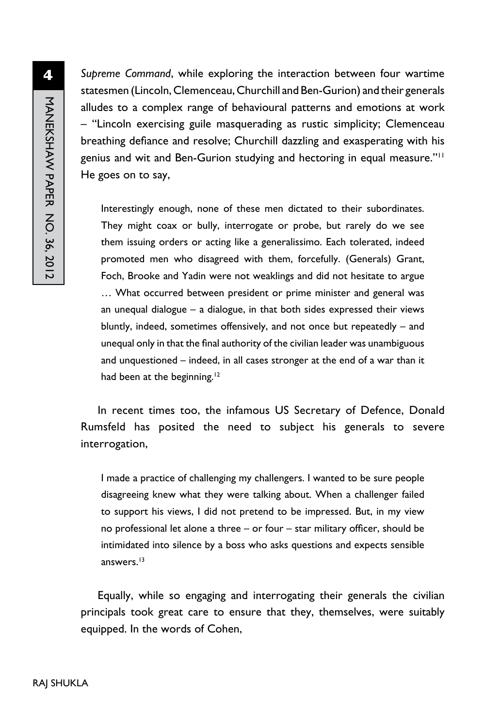*Supreme Command*, while exploring the interaction between four wartime statesmen (Lincoln, Clemenceau, Churchill and Ben-Gurion) and their generals alludes to a complex range of behavioural patterns and emotions at work – "Lincoln exercising guile masquerading as rustic simplicity; Clemenceau breathing defiance and resolve; Churchill dazzling and exasperating with his genius and wit and Ben-Gurion studying and hectoring in equal measure."11 He goes on to say,

Interestingly enough, none of these men dictated to their subordinates. They might coax or bully, interrogate or probe, but rarely do we see them issuing orders or acting like a generalissimo. Each tolerated, indeed promoted men who disagreed with them, forcefully. (Generals) Grant, Foch, Brooke and Yadin were not weaklings and did not hesitate to argue … What occurred between president or prime minister and general was an unequal dialogue – a dialogue, in that both sides expressed their views bluntly, indeed, sometimes offensively, and not once but repeatedly – and unequal only in that the final authority of the civilian leader was unambiguous and unquestioned – indeed, in all cases stronger at the end of a war than it had been at the beginning.<sup>12</sup>

In recent times too, the infamous US Secretary of Defence, Donald Rumsfeld has posited the need to subject his generals to severe interrogation,

I made a practice of challenging my challengers. I wanted to be sure people disagreeing knew what they were talking about. When a challenger failed to support his views, I did not pretend to be impressed. But, in my view no professional let alone a three – or four – star military officer, should be intimidated into silence by a boss who asks questions and expects sensible answers.13

Equally, while so engaging and interrogating their generals the civilian principals took great care to ensure that they, themselves, were suitably equipped. In the words of Cohen,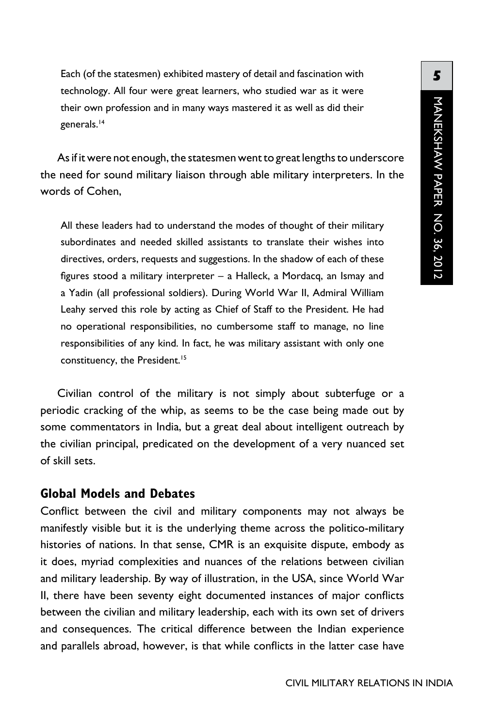Each (of the statesmen) exhibited mastery of detail and fascination with technology. All four were great learners, who studied war as it were their own profession and in many ways mastered it as well as did their generals.<sup>14</sup>

As if it were not enough, the statesmen went to great lengths to underscore the need for sound military liaison through able military interpreters. In the words of Cohen,

All these leaders had to understand the modes of thought of their military subordinates and needed skilled assistants to translate their wishes into directives, orders, requests and suggestions. In the shadow of each of these figures stood a military interpreter – a Halleck, a Mordacq, an Ismay and a Yadin (all professional soldiers). During World War II, Admiral William Leahy served this role by acting as Chief of Staff to the President. He had no operational responsibilities, no cumbersome staff to manage, no line responsibilities of any kind. In fact, he was military assistant with only one constituency, the President.<sup>15</sup>

Civilian control of the military is not simply about subterfuge or a periodic cracking of the whip, as seems to be the case being made out by some commentators in India, but a great deal about intelligent outreach by the civilian principal, predicated on the development of a very nuanced set of skill sets.

#### **Global Models and Debates**

Conflict between the civil and military components may not always be manifestly visible but it is the underlying theme across the politico-military histories of nations. In that sense, CMR is an exquisite dispute, embody as it does, myriad complexities and nuances of the relations between civilian and military leadership. By way of illustration, in the USA, since World War II, there have been seventy eight documented instances of major conflicts between the civilian and military leadership, each with its own set of drivers and consequences. The critical difference between the Indian experience and parallels abroad, however, is that while conflicts in the latter case have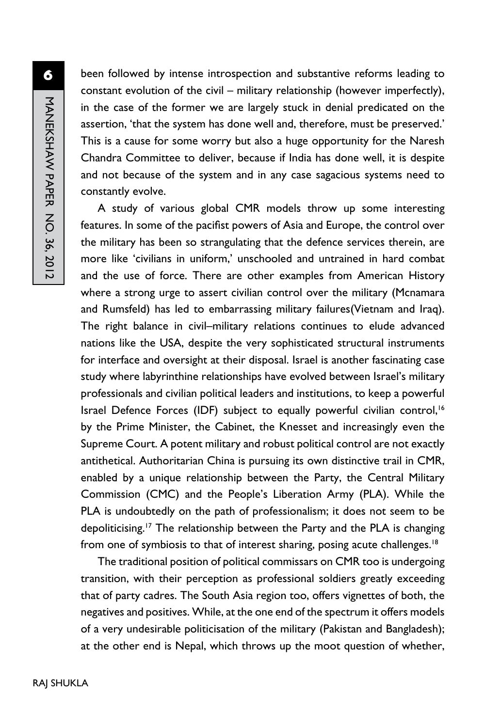been followed by intense introspection and substantive reforms leading to constant evolution of the civil – military relationship (however imperfectly), in the case of the former we are largely stuck in denial predicated on the assertion, 'that the system has done well and, therefore, must be preserved.' This is a cause for some worry but also a huge opportunity for the Naresh Chandra Committee to deliver, because if India has done well, it is despite and not because of the system and in any case sagacious systems need to constantly evolve.

A study of various global CMR models throw up some interesting features. In some of the pacifist powers of Asia and Europe, the control over the military has been so strangulating that the defence services therein, are more like 'civilians in uniform,' unschooled and untrained in hard combat and the use of force. There are other examples from American History where a strong urge to assert civilian control over the military (Mcnamara and Rumsfeld) has led to embarrassing military failures(Vietnam and Iraq). The right balance in civil–military relations continues to elude advanced nations like the USA, despite the very sophisticated structural instruments for interface and oversight at their disposal. Israel is another fascinating case study where labyrinthine relationships have evolved between Israel's military professionals and civilian political leaders and institutions, to keep a powerful Israel Defence Forces (IDF) subject to equally powerful civilian control,<sup>16</sup> by the Prime Minister, the Cabinet, the Knesset and increasingly even the Supreme Court. A potent military and robust political control are not exactly antithetical. Authoritarian China is pursuing its own distinctive trail in CMR, enabled by a unique relationship between the Party, the Central Military Commission (CMC) and the People's Liberation Army (PLA). While the PLA is undoubtedly on the path of professionalism; it does not seem to be depoliticising.<sup>17</sup> The relationship between the Party and the PLA is changing from one of symbiosis to that of interest sharing, posing acute challenges.<sup>18</sup>

The traditional position of political commissars on CMR too is undergoing transition, with their perception as professional soldiers greatly exceeding that of party cadres. The South Asia region too, offers vignettes of both, the negatives and positives. While, at the one end of the spectrum it offers models of a very undesirable politicisation of the military (Pakistan and Bangladesh); at the other end is Nepal, which throws up the moot question of whether,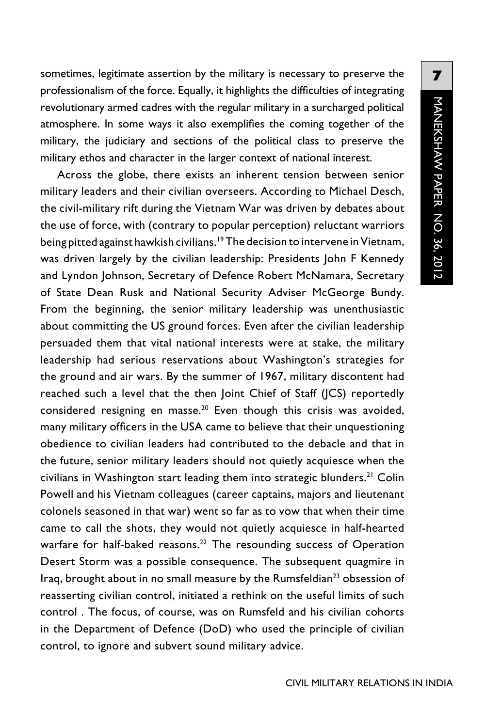sometimes, legitimate assertion by the military is necessary to preserve the professionalism of the force. Equally, it highlights the difficulties of integrating revolutionary armed cadres with the regular military in a surcharged political atmosphere. In some ways it also exemplifies the coming together of the military, the judiciary and sections of the political class to preserve the military ethos and character in the larger context of national interest.

Across the globe, there exists an inherent tension between senior military leaders and their civilian overseers. According to Michael Desch, the civil-military rift during the Vietnam War was driven by debates about the use of force, with (contrary to popular perception) reluctant warriors being pitted against hawkish civilians.19 The decision to intervene in Vietnam, was driven largely by the civilian leadership: Presidents John F Kennedy and Lyndon Johnson, Secretary of Defence Robert McNamara, Secretary of State Dean Rusk and National Security Adviser McGeorge Bundy. From the beginning, the senior military leadership was unenthusiastic about committing the US ground forces. Even after the civilian leadership persuaded them that vital national interests were at stake, the military leadership had serious reservations about Washington's strategies for the ground and air wars. By the summer of 1967, military discontent had reached such a level that the then Joint Chief of Staff (JCS) reportedly considered resigning en masse.20 Even though this crisis was avoided, many military officers in the USA came to believe that their unquestioning obedience to civilian leaders had contributed to the debacle and that in the future, senior military leaders should not quietly acquiesce when the civilians in Washington start leading them into strategic blunders.<sup>21</sup> Colin Powell and his Vietnam colleagues (career captains, majors and lieutenant colonels seasoned in that war) went so far as to vow that when their time came to call the shots, they would not quietly acquiesce in half-hearted warfare for half-baked reasons.<sup>22</sup> The resounding success of Operation Desert Storm was a possible consequence. The subsequent quagmire in Iraq, brought about in no small measure by the Rumsfeldian<sup>23</sup> obsession of reasserting civilian control, initiated a rethink on the useful limits of such control . The focus, of course, was on Rumsfeld and his civilian cohorts in the Department of Defence (DoD) who used the principle of civilian control, to ignore and subvert sound military advice.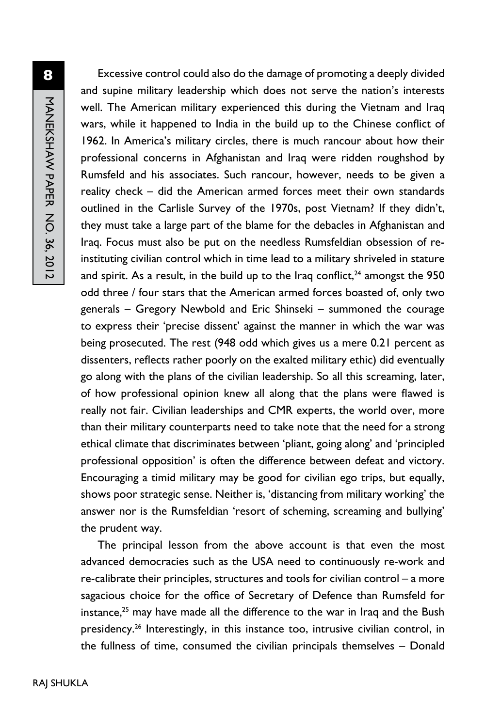Excessive control could also do the damage of promoting a deeply divided and supine military leadership which does not serve the nation's interests well. The American military experienced this during the Vietnam and Iraq wars, while it happened to India in the build up to the Chinese conflict of 1962. In America's military circles, there is much rancour about how their professional concerns in Afghanistan and Iraq were ridden roughshod by Rumsfeld and his associates. Such rancour, however, needs to be given a reality check – did the American armed forces meet their own standards outlined in the Carlisle Survey of the 1970s, post Vietnam? If they didn't, they must take a large part of the blame for the debacles in Afghanistan and Iraq. Focus must also be put on the needless Rumsfeldian obsession of reinstituting civilian control which in time lead to a military shriveled in stature and spirit. As a result, in the build up to the Iraq conflict, $24$  amongst the 950 odd three / four stars that the American armed forces boasted of, only two generals – Gregory Newbold and Eric Shinseki – summoned the courage to express their 'precise dissent' against the manner in which the war was being prosecuted. The rest (948 odd which gives us a mere 0.21 percent as dissenters, reflects rather poorly on the exalted military ethic) did eventually go along with the plans of the civilian leadership. So all this screaming, later, of how professional opinion knew all along that the plans were flawed is really not fair. Civilian leaderships and CMR experts, the world over, more than their military counterparts need to take note that the need for a strong ethical climate that discriminates between 'pliant, going along' and 'principled professional opposition' is often the difference between defeat and victory. Encouraging a timid military may be good for civilian ego trips, but equally, shows poor strategic sense. Neither is, 'distancing from military working' the answer nor is the Rumsfeldian 'resort of scheming, screaming and bullying' the prudent way.

The principal lesson from the above account is that even the most advanced democracies such as the USA need to continuously re-work and re-calibrate their principles, structures and tools for civilian control – a more sagacious choice for the office of Secretary of Defence than Rumsfeld for instance,<sup>25</sup> may have made all the difference to the war in Iraq and the Bush presidency.<sup>26</sup> Interestingly, in this instance too, intrusive civilian control, in the fullness of time, consumed the civilian principals themselves – Donald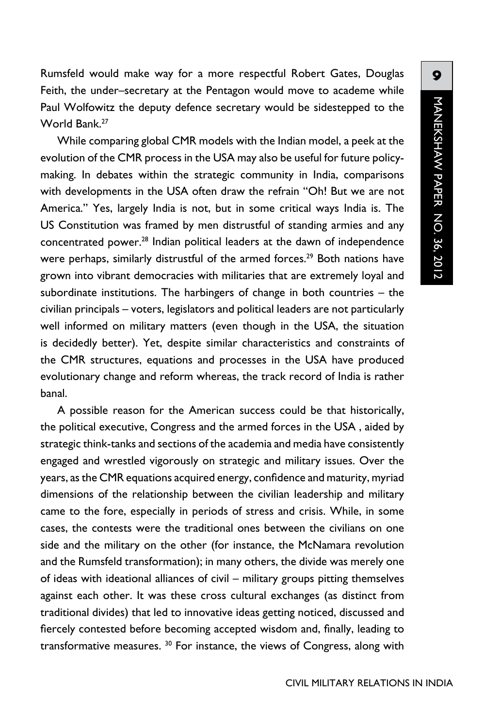Rumsfeld would make way for a more respectful Robert Gates, Douglas Feith, the under–secretary at the Pentagon would move to academe while Paul Wolfowitz the deputy defence secretary would be sidestepped to the World Bank.27

While comparing global CMR models with the Indian model, a peek at the evolution of the CMR process in the USA may also be useful for future policymaking. In debates within the strategic community in India, comparisons with developments in the USA often draw the refrain "Oh! But we are not America." Yes, largely India is not, but in some critical ways India is. The US Constitution was framed by men distrustful of standing armies and any concentrated power.28 Indian political leaders at the dawn of independence were perhaps, similarly distrustful of the armed forces.<sup>29</sup> Both nations have grown into vibrant democracies with militaries that are extremely loyal and subordinate institutions. The harbingers of change in both countries – the civilian principals – voters, legislators and political leaders are not particularly well informed on military matters (even though in the USA, the situation is decidedly better). Yet, despite similar characteristics and constraints of the CMR structures, equations and processes in the USA have produced evolutionary change and reform whereas, the track record of India is rather banal.

A possible reason for the American success could be that historically, the political executive, Congress and the armed forces in the USA , aided by strategic think-tanks and sections of the academia and media have consistently engaged and wrestled vigorously on strategic and military issues. Over the years, as the CMR equations acquired energy, confidence and maturity, myriad dimensions of the relationship between the civilian leadership and military came to the fore, especially in periods of stress and crisis. While, in some cases, the contests were the traditional ones between the civilians on one side and the military on the other (for instance, the McNamara revolution and the Rumsfeld transformation); in many others, the divide was merely one of ideas with ideational alliances of civil – military groups pitting themselves against each other. It was these cross cultural exchanges (as distinct from traditional divides) that led to innovative ideas getting noticed, discussed and fiercely contested before becoming accepted wisdom and, finally, leading to transformative measures. <sup>30</sup> For instance, the views of Congress, along with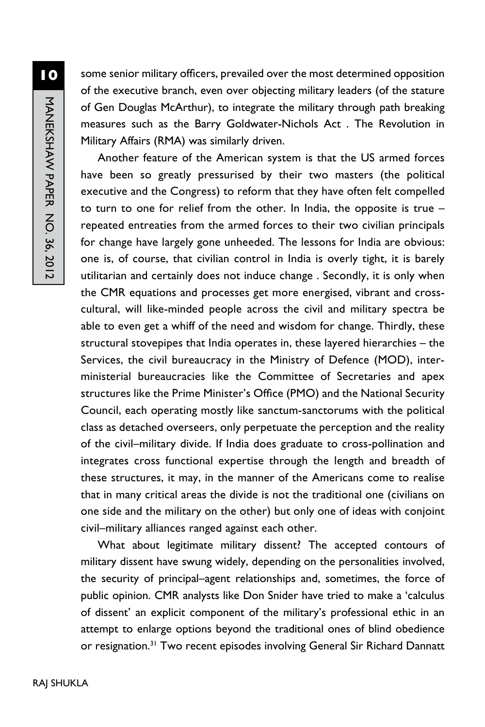some senior military officers, prevailed over the most determined opposition of the executive branch, even over objecting military leaders (of the stature of Gen Douglas McArthur), to integrate the military through path breaking measures such as the Barry Goldwater-Nichols Act . The Revolution in Military Affairs (RMA) was similarly driven.

Another feature of the American system is that the US armed forces have been so greatly pressurised by their two masters (the political executive and the Congress) to reform that they have often felt compelled to turn to one for relief from the other. In India, the opposite is true – repeated entreaties from the armed forces to their two civilian principals for change have largely gone unheeded. The lessons for India are obvious: one is, of course, that civilian control in India is overly tight, it is barely utilitarian and certainly does not induce change . Secondly, it is only when the CMR equations and processes get more energised, vibrant and crosscultural, will like-minded people across the civil and military spectra be able to even get a whiff of the need and wisdom for change. Thirdly, these structural stovepipes that India operates in, these layered hierarchies – the Services, the civil bureaucracy in the Ministry of Defence (MOD), interministerial bureaucracies like the Committee of Secretaries and apex structures like the Prime Minister's Office (PMO) and the National Security Council, each operating mostly like sanctum-sanctorums with the political class as detached overseers, only perpetuate the perception and the reality of the civil–military divide. If India does graduate to cross-pollination and integrates cross functional expertise through the length and breadth of these structures, it may, in the manner of the Americans come to realise that in many critical areas the divide is not the traditional one (civilians on one side and the military on the other) but only one of ideas with conjoint civil–military alliances ranged against each other.

What about legitimate military dissent? The accepted contours of military dissent have swung widely, depending on the personalities involved, the security of principal–agent relationships and, sometimes, the force of public opinion. CMR analysts like Don Snider have tried to make a 'calculus of dissent' an explicit component of the military's professional ethic in an attempt to enlarge options beyond the traditional ones of blind obedience or resignation.<sup>31</sup> Two recent episodes involving General Sir Richard Dannatt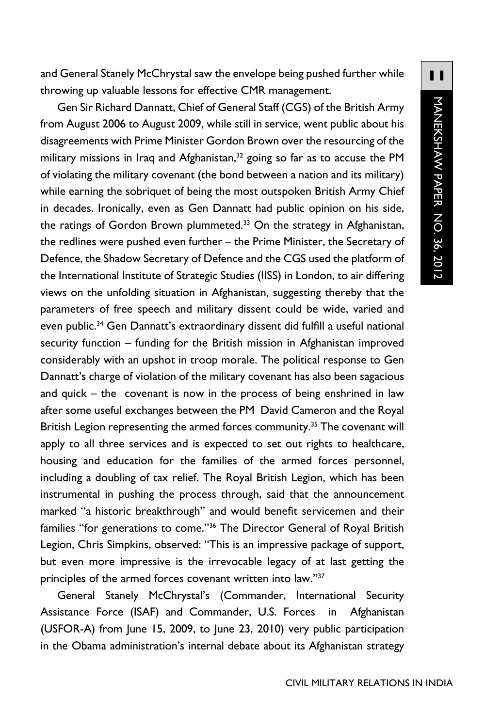and General Stanely McChrystal saw the envelope being pushed further while throwing up valuable lessons for effective CMR management.

Gen Sir Richard Dannatt, Chief of General Staff (CGS) of the British Army from August 2006 to August 2009, while still in service, went public about his disagreements with Prime Minister Gordon Brown over the resourcing of the military missions in Iraq and Afghanistan,<sup>32</sup> going so far as to accuse the PM of violating the military covenant (the bond between a nation and its military) while earning the sobriquet of being the most outspoken British Army Chief in decades. Ironically, even as Gen Dannatt had public opinion on his side, the ratings of Gordon Brown plummeted.<sup>33</sup> On the strategy in Afghanistan, the redlines were pushed even further – the Prime Minister, the Secretary of Defence, the Shadow Secretary of Defence and the CGS used the platform of the International Institute of Strategic Studies (IISS) in London, to air differing views on the unfolding situation in Afghanistan, suggesting thereby that the parameters of free speech and military dissent could be wide, varied and even public.<sup>34</sup> Gen Dannatt's extraordinary dissent did fulfill a useful national security function – funding for the British mission in Afghanistan improved considerably with an upshot in troop morale. The political response to Gen Dannatt's charge of violation of the military covenant has also been sagacious and quick – the covenant is now in the process of being enshrined in law after some useful exchanges between the PM David Cameron and the Royal British Legion representing the armed forces community.<sup>35</sup> The covenant will apply to all three services and is expected to set out rights to healthcare, housing and education for the families of the armed forces personnel, including a doubling of tax relief. The Royal British Legion, which has been instrumental in pushing the process through, said that the announcement marked "a historic breakthrough" and would benefit servicemen and their families "for generations to come."<sup>36</sup> The Director General of Royal British Legion, Chris Simpkins, observed: "This is an impressive package of support, but even more impressive is the irrevocable legacy of at last getting the principles of the armed forces covenant written into law."37

General Stanely McChrystal's (Commander, International Security Assistance Force (ISAF) and Commander, U.S. Forces in Afghanistan (USFOR-A) from June 15, 2009, to June 23, 2010) very public participation in the Obama administration's internal debate about its Afghanistan strategy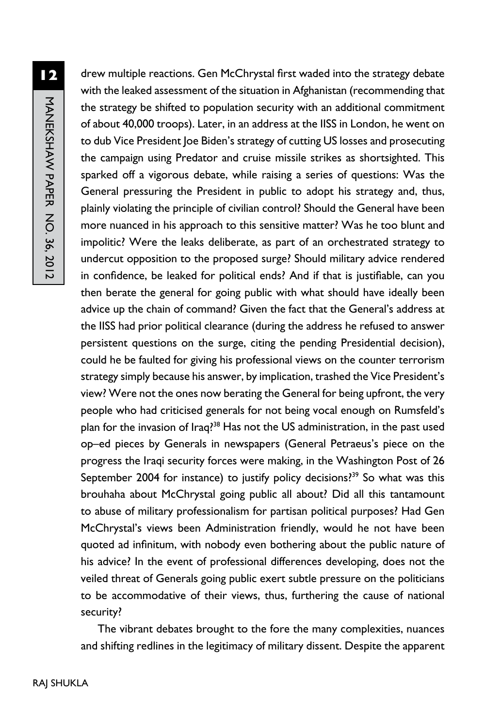drew multiple reactions. Gen McChrystal first waded into the strategy debate with the leaked assessment of the situation in Afghanistan (recommending that the strategy be shifted to population security with an additional commitment of about 40,000 troops). Later, in an address at the IISS in London, he went on to dub Vice President Joe Biden's strategy of cutting US losses and prosecuting the campaign using Predator and cruise missile strikes as shortsighted. This sparked off a vigorous debate, while raising a series of questions: Was the General pressuring the President in public to adopt his strategy and, thus, plainly violating the principle of civilian control? Should the General have been more nuanced in his approach to this sensitive matter? Was he too blunt and impolitic? Were the leaks deliberate, as part of an orchestrated strategy to undercut opposition to the proposed surge? Should military advice rendered in confidence, be leaked for political ends? And if that is justifiable, can you then berate the general for going public with what should have ideally been advice up the chain of command? Given the fact that the General's address at the IISS had prior political clearance (during the address he refused to answer persistent questions on the surge, citing the pending Presidential decision), could he be faulted for giving his professional views on the counter terrorism strategy simply because his answer, by implication, trashed the Vice President's view? Were not the ones now berating the General for being upfront, the very people who had criticised generals for not being vocal enough on Rumsfeld's plan for the invasion of Iraq?<sup>38</sup> Has not the US administration, in the past used op–ed pieces by Generals in newspapers (General Petraeus's piece on the progress the Iraqi security forces were making, in the Washington Post of 26 September 2004 for instance) to justify policy decisions?<sup>39</sup> So what was this brouhaha about McChrystal going public all about? Did all this tantamount to abuse of military professionalism for partisan political purposes? Had Gen McChrystal's views been Administration friendly, would he not have been quoted ad infinitum, with nobody even bothering about the public nature of his advice? In the event of professional differences developing, does not the veiled threat of Generals going public exert subtle pressure on the politicians to be accommodative of their views, thus, furthering the cause of national security?

The vibrant debates brought to the fore the many complexities, nuances and shifting redlines in the legitimacy of military dissent. Despite the apparent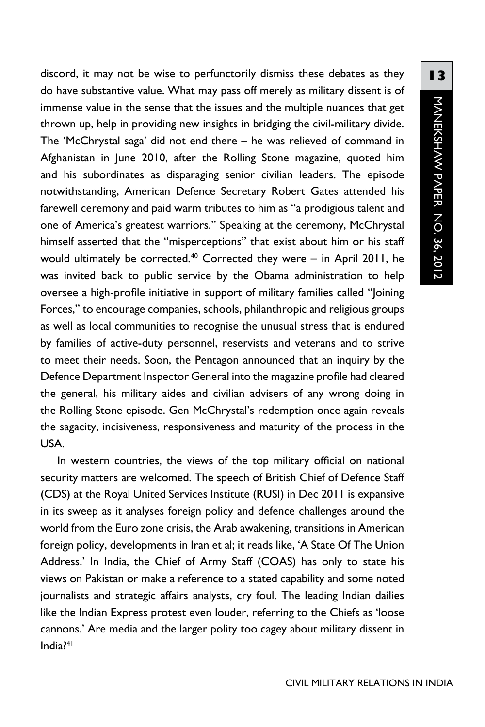discord, it may not be wise to perfunctorily dismiss these debates as they do have substantive value. What may pass off merely as military dissent is of immense value in the sense that the issues and the multiple nuances that get thrown up, help in providing new insights in bridging the civil-military divide. The 'McChrystal saga' did not end there – he was relieved of command in Afghanistan in June 2010, after the Rolling Stone magazine, quoted him and his subordinates as disparaging senior civilian leaders. The episode notwithstanding, American Defence Secretary Robert Gates attended his farewell ceremony and paid warm tributes to him as "a prodigious talent and one of America's greatest warriors." Speaking at the ceremony, McChrystal himself asserted that the "misperceptions" that exist about him or his staff would ultimately be corrected.<sup>40</sup> Corrected they were - in April 2011, he was invited back to public service by the Obama administration to help oversee a high-profile initiative in support of military families called "Joining Forces," to encourage companies, schools, philanthropic and religious groups as well as local communities to recognise the unusual stress that is endured by families of active-duty personnel, reservists and veterans and to strive to meet their needs. Soon, the Pentagon announced that an inquiry by the Defence Department Inspector General into the magazine profile had cleared the general, his military aides and civilian advisers of any wrong doing in the Rolling Stone episode. Gen McChrystal's redemption once again reveals the sagacity, incisiveness, responsiveness and maturity of the process in the USA.

In western countries, the views of the top military official on national security matters are welcomed. The speech of British Chief of Defence Staff (CDS) at the Royal United Services Institute (RUSI) in Dec 2011 is expansive in its sweep as it analyses foreign policy and defence challenges around the world from the Euro zone crisis, the Arab awakening, transitions in American foreign policy, developments in Iran et al; it reads like, 'A State Of The Union Address.' In India, the Chief of Army Staff (COAS) has only to state his views on Pakistan or make a reference to a stated capability and some noted journalists and strategic affairs analysts, cry foul. The leading Indian dailies like the Indian Express protest even louder, referring to the Chiefs as 'loose cannons.' Are media and the larger polity too cagey about military dissent in India?41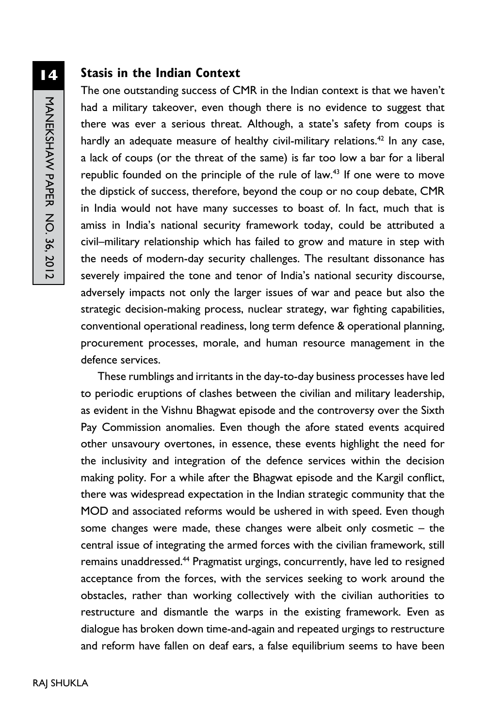#### **Stasis in the Indian Context**

The one outstanding success of CMR in the Indian context is that we haven't had a military takeover, even though there is no evidence to suggest that there was ever a serious threat. Although, a state's safety from coups is hardly an adequate measure of healthy civil-military relations.<sup>42</sup> In any case, a lack of coups (or the threat of the same) is far too low a bar for a liberal republic founded on the principle of the rule of law.<sup>43</sup> If one were to move the dipstick of success, therefore, beyond the coup or no coup debate, CMR in India would not have many successes to boast of. In fact, much that is amiss in India's national security framework today, could be attributed a civil–military relationship which has failed to grow and mature in step with the needs of modern-day security challenges. The resultant dissonance has severely impaired the tone and tenor of India's national security discourse, adversely impacts not only the larger issues of war and peace but also the strategic decision-making process, nuclear strategy, war fighting capabilities, conventional operational readiness, long term defence & operational planning, procurement processes, morale, and human resource management in the defence services.

These rumblings and irritants in the day-to-day business processes have led to periodic eruptions of clashes between the civilian and military leadership, as evident in the Vishnu Bhagwat episode and the controversy over the Sixth Pay Commission anomalies. Even though the afore stated events acquired other unsavoury overtones, in essence, these events highlight the need for the inclusivity and integration of the defence services within the decision making polity. For a while after the Bhagwat episode and the Kargil conflict, there was widespread expectation in the Indian strategic community that the MOD and associated reforms would be ushered in with speed. Even though some changes were made, these changes were albeit only cosmetic – the central issue of integrating the armed forces with the civilian framework, still remains unaddressed.<sup>44</sup> Pragmatist urgings, concurrently, have led to resigned acceptance from the forces, with the services seeking to work around the obstacles, rather than working collectively with the civilian authorities to restructure and dismantle the warps in the existing framework. Even as dialogue has broken down time-and-again and repeated urgings to restructure and reform have fallen on deaf ears, a false equilibrium seems to have been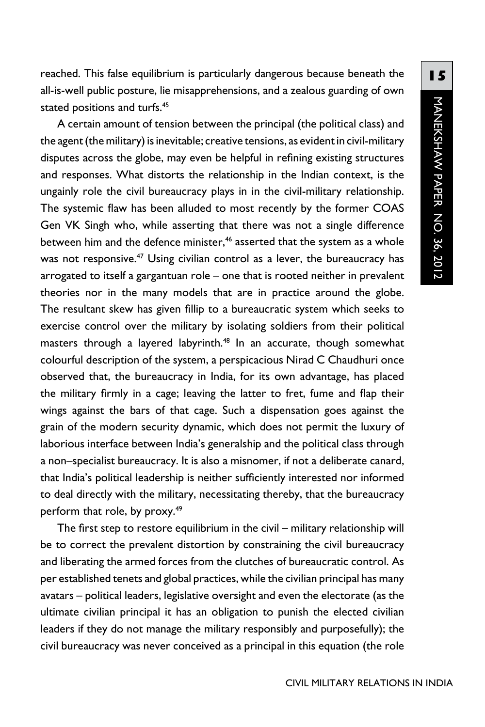reached. This false equilibrium is particularly dangerous because beneath the all-is-well public posture, lie misapprehensions, and a zealous guarding of own stated positions and turfs.<sup>45</sup>

A certain amount of tension between the principal (the political class) and the agent (the military) is inevitable; creative tensions, as evident in civil-military disputes across the globe, may even be helpful in refining existing structures and responses. What distorts the relationship in the Indian context, is the ungainly role the civil bureaucracy plays in in the civil-military relationship. The systemic flaw has been alluded to most recently by the former COAS Gen VK Singh who, while asserting that there was not a single difference between him and the defence minister,<sup>46</sup> asserted that the system as a whole was not responsive.<sup>47</sup> Using civilian control as a lever, the bureaucracy has arrogated to itself a gargantuan role – one that is rooted neither in prevalent theories nor in the many models that are in practice around the globe. The resultant skew has given fillip to a bureaucratic system which seeks to exercise control over the military by isolating soldiers from their political masters through a layered labyrinth.<sup>48</sup> In an accurate, though somewhat colourful description of the system, a perspicacious Nirad C Chaudhuri once observed that, the bureaucracy in India, for its own advantage, has placed the military firmly in a cage; leaving the latter to fret, fume and flap their wings against the bars of that cage. Such a dispensation goes against the grain of the modern security dynamic, which does not permit the luxury of laborious interface between India's generalship and the political class through a non–specialist bureaucracy. It is also a misnomer, if not a deliberate canard, that India's political leadership is neither sufficiently interested nor informed to deal directly with the military, necessitating thereby, that the bureaucracy perform that role, by proxy.<sup>49</sup>

The first step to restore equilibrium in the civil – military relationship will be to correct the prevalent distortion by constraining the civil bureaucracy and liberating the armed forces from the clutches of bureaucratic control. As per established tenets and global practices, while the civilian principal has many avatars – political leaders, legislative oversight and even the electorate (as the ultimate civilian principal it has an obligation to punish the elected civilian leaders if they do not manage the military responsibly and purposefully); the civil bureaucracy was never conceived as a principal in this equation (the role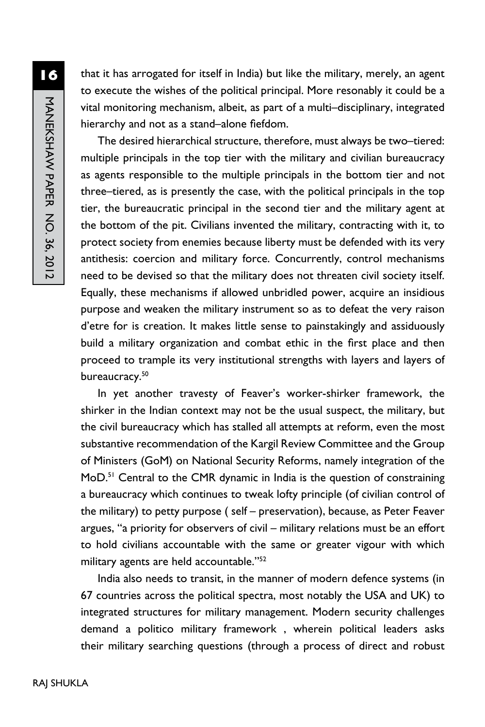**16**MANEKSHAW PAPER NO. 36, 2012 MANEKSHAW PAPER No. 36, 2012

that it has arrogated for itself in India) but like the military, merely, an agent to execute the wishes of the political principal. More resonably it could be a vital monitoring mechanism, albeit, as part of a multi–disciplinary, integrated hierarchy and not as a stand–alone fiefdom.

The desired hierarchical structure, therefore, must always be two–tiered: multiple principals in the top tier with the military and civilian bureaucracy as agents responsible to the multiple principals in the bottom tier and not three–tiered, as is presently the case, with the political principals in the top tier, the bureaucratic principal in the second tier and the military agent at the bottom of the pit. Civilians invented the military, contracting with it, to protect society from enemies because liberty must be defended with its very antithesis: coercion and military force. Concurrently, control mechanisms need to be devised so that the military does not threaten civil society itself. Equally, these mechanisms if allowed unbridled power, acquire an insidious purpose and weaken the military instrument so as to defeat the very raison d'etre for is creation. It makes little sense to painstakingly and assiduously build a military organization and combat ethic in the first place and then proceed to trample its very institutional strengths with layers and layers of bureaucracy.<sup>50</sup>

In yet another travesty of Feaver's worker-shirker framework, the shirker in the Indian context may not be the usual suspect, the military, but the civil bureaucracy which has stalled all attempts at reform, even the most substantive recommendation of the Kargil Review Committee and the Group of Ministers (GoM) on National Security Reforms, namely integration of the MoD.<sup>51</sup> Central to the CMR dynamic in India is the question of constraining a bureaucracy which continues to tweak lofty principle (of civilian control of the military) to petty purpose ( self – preservation), because, as Peter Feaver argues, "a priority for observers of civil – military relations must be an effort to hold civilians accountable with the same or greater vigour with which military agents are held accountable."52

India also needs to transit, in the manner of modern defence systems (in 67 countries across the political spectra, most notably the USA and UK) to integrated structures for military management. Modern security challenges demand a politico military framework , wherein political leaders asks their military searching questions (through a process of direct and robust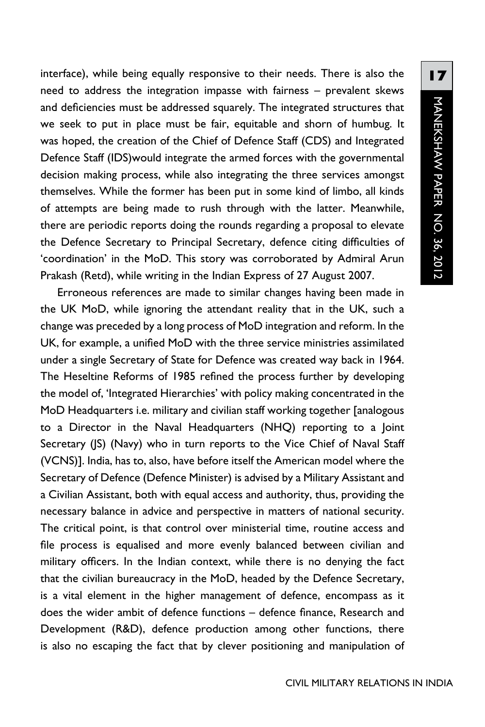interface), while being equally responsive to their needs. There is also the need to address the integration impasse with fairness – prevalent skews and deficiencies must be addressed squarely. The integrated structures that we seek to put in place must be fair, equitable and shorn of humbug. It was hoped, the creation of the Chief of Defence Staff (CDS) and Integrated Defence Staff (IDS)would integrate the armed forces with the governmental decision making process, while also integrating the three services amongst themselves. While the former has been put in some kind of limbo, all kinds of attempts are being made to rush through with the latter. Meanwhile, there are periodic reports doing the rounds regarding a proposal to elevate the Defence Secretary to Principal Secretary, defence citing difficulties of 'coordination' in the MoD. This story was corroborated by Admiral Arun Prakash (Retd), while writing in the Indian Express of 27 August 2007.

Erroneous references are made to similar changes having been made in the UK MoD, while ignoring the attendant reality that in the UK, such a change was preceded by a long process of MoD integration and reform. In the UK, for example, a unified MoD with the three service ministries assimilated under a single Secretary of State for Defence was created way back in 1964. The Heseltine Reforms of 1985 refined the process further by developing the model of, 'Integrated Hierarchies' with policy making concentrated in the MoD Headquarters i.e. military and civilian staff working together [analogous to a Director in the Naval Headquarters (NHQ) reporting to a Joint Secretary (JS) (Navy) who in turn reports to the Vice Chief of Naval Staff (VCNS)]. India, has to, also, have before itself the American model where the Secretary of Defence (Defence Minister) is advised by a Military Assistant and a Civilian Assistant, both with equal access and authority, thus, providing the necessary balance in advice and perspective in matters of national security. The critical point, is that control over ministerial time, routine access and file process is equalised and more evenly balanced between civilian and military officers. In the Indian context, while there is no denying the fact that the civilian bureaucracy in the MoD, headed by the Defence Secretary, is a vital element in the higher management of defence, encompass as it does the wider ambit of defence functions – defence finance, Research and Development (R&D), defence production among other functions, there is also no escaping the fact that by clever positioning and manipulation of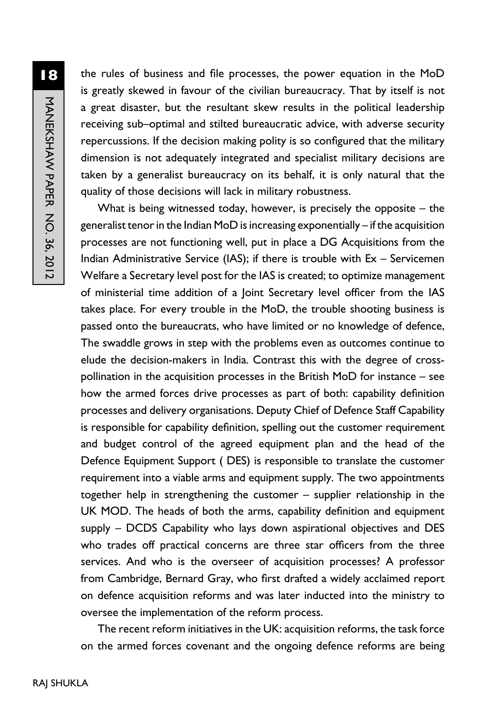the rules of business and file processes, the power equation in the MoD is greatly skewed in favour of the civilian bureaucracy. That by itself is not a great disaster, but the resultant skew results in the political leadership receiving sub–optimal and stilted bureaucratic advice, with adverse security repercussions. If the decision making polity is so configured that the military dimension is not adequately integrated and specialist military decisions are taken by a generalist bureaucracy on its behalf, it is only natural that the quality of those decisions will lack in military robustness.

What is being witnessed today, however, is precisely the opposite  $-$  the generalist tenor in the Indian MoD is increasing exponentially – if the acquisition processes are not functioning well, put in place a DG Acquisitions from the Indian Administrative Service (IAS); if there is trouble with Ex – Servicemen Welfare a Secretary level post for the IAS is created; to optimize management of ministerial time addition of a Joint Secretary level officer from the IAS takes place. For every trouble in the MoD, the trouble shooting business is passed onto the bureaucrats, who have limited or no knowledge of defence, The swaddle grows in step with the problems even as outcomes continue to elude the decision-makers in India. Contrast this with the degree of crosspollination in the acquisition processes in the British MoD for instance – see how the armed forces drive processes as part of both: capability definition processes and delivery organisations. Deputy Chief of Defence Staff Capability is responsible for capability definition, spelling out the customer requirement and budget control of the agreed equipment plan and the head of the Defence Equipment Support ( DES) is responsible to translate the customer requirement into a viable arms and equipment supply. The two appointments together help in strengthening the customer – supplier relationship in the UK MOD. The heads of both the arms, capability definition and equipment supply – DCDS Capability who lays down aspirational objectives and DES who trades off practical concerns are three star officers from the three services. And who is the overseer of acquisition processes? A professor from Cambridge, Bernard Gray, who first drafted a widely acclaimed report on defence acquisition reforms and was later inducted into the ministry to oversee the implementation of the reform process.

The recent reform initiatives in the UK: acquisition reforms, the task force on the armed forces covenant and the ongoing defence reforms are being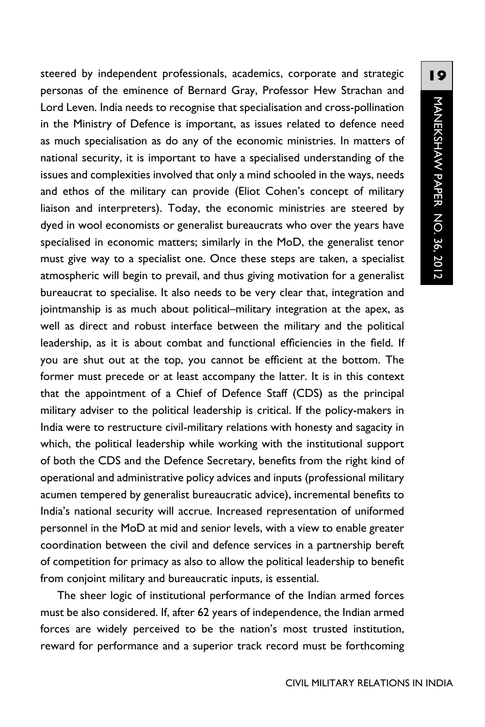steered by independent professionals, academics, corporate and strategic personas of the eminence of Bernard Gray, Professor Hew Strachan and Lord Leven. India needs to recognise that specialisation and cross-pollination in the Ministry of Defence is important, as issues related to defence need as much specialisation as do any of the economic ministries. In matters of national security, it is important to have a specialised understanding of the issues and complexities involved that only a mind schooled in the ways, needs and ethos of the military can provide (Eliot Cohen's concept of military liaison and interpreters). Today, the economic ministries are steered by dyed in wool economists or generalist bureaucrats who over the years have specialised in economic matters; similarly in the MoD, the generalist tenor must give way to a specialist one. Once these steps are taken, a specialist atmospheric will begin to prevail, and thus giving motivation for a generalist bureaucrat to specialise. It also needs to be very clear that, integration and jointmanship is as much about political–military integration at the apex, as well as direct and robust interface between the military and the political leadership, as it is about combat and functional efficiencies in the field. If you are shut out at the top, you cannot be efficient at the bottom. The former must precede or at least accompany the latter. It is in this context that the appointment of a Chief of Defence Staff (CDS) as the principal military adviser to the political leadership is critical. If the policy-makers in India were to restructure civil-military relations with honesty and sagacity in which, the political leadership while working with the institutional support of both the CDS and the Defence Secretary, benefits from the right kind of operational and administrative policy advices and inputs (professional military acumen tempered by generalist bureaucratic advice), incremental benefits to India's national security will accrue. Increased representation of uniformed personnel in the MoD at mid and senior levels, with a view to enable greater coordination between the civil and defence services in a partnership bereft of competition for primacy as also to allow the political leadership to benefit from conjoint military and bureaucratic inputs, is essential.

The sheer logic of institutional performance of the Indian armed forces must be also considered. If, after 62 years of independence, the Indian armed forces are widely perceived to be the nation's most trusted institution, reward for performance and a superior track record must be forthcoming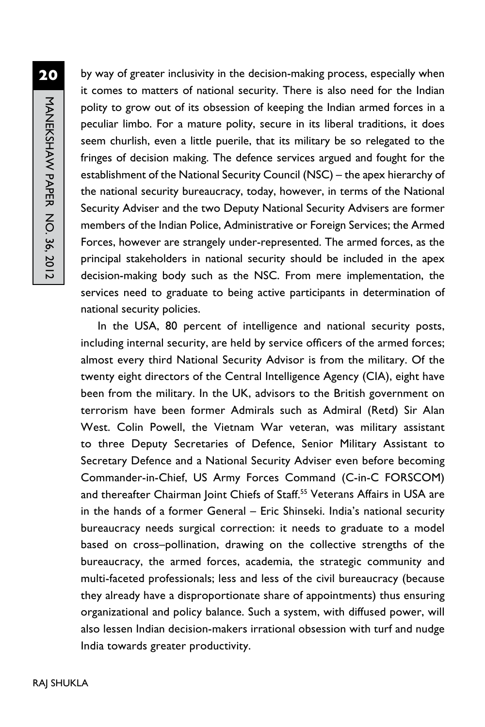by way of greater inclusivity in the decision-making process, especially when it comes to matters of national security. There is also need for the Indian polity to grow out of its obsession of keeping the Indian armed forces in a peculiar limbo. For a mature polity, secure in its liberal traditions, it does seem churlish, even a little puerile, that its military be so relegated to the fringes of decision making. The defence services argued and fought for the establishment of the National Security Council (NSC) – the apex hierarchy of the national security bureaucracy, today, however, in terms of the National Security Adviser and the two Deputy National Security Advisers are former members of the Indian Police, Administrative or Foreign Services; the Armed Forces, however are strangely under-represented. The armed forces, as the principal stakeholders in national security should be included in the apex decision-making body such as the NSC. From mere implementation, the services need to graduate to being active participants in determination of national security policies.

In the USA, 80 percent of intelligence and national security posts, including internal security, are held by service officers of the armed forces; almost every third National Security Advisor is from the military. Of the twenty eight directors of the Central Intelligence Agency (CIA), eight have been from the military. In the UK, advisors to the British government on terrorism have been former Admirals such as Admiral (Retd) Sir Alan West. Colin Powell, the Vietnam War veteran, was military assistant to three Deputy Secretaries of Defence, Senior Military Assistant to Secretary Defence and a National Security Adviser even before becoming Commander-in-Chief, US Army Forces Command (C-in-C FORSCOM) and thereafter Chairman Joint Chiefs of Staff.<sup>55</sup> Veterans Affairs in USA are in the hands of a former General – Eric Shinseki. India's national security bureaucracy needs surgical correction: it needs to graduate to a model based on cross–pollination, drawing on the collective strengths of the bureaucracy, the armed forces, academia, the strategic community and multi-faceted professionals; less and less of the civil bureaucracy (because they already have a disproportionate share of appointments) thus ensuring organizational and policy balance. Such a system, with diffused power, will also lessen Indian decision-makers irrational obsession with turf and nudge India towards greater productivity.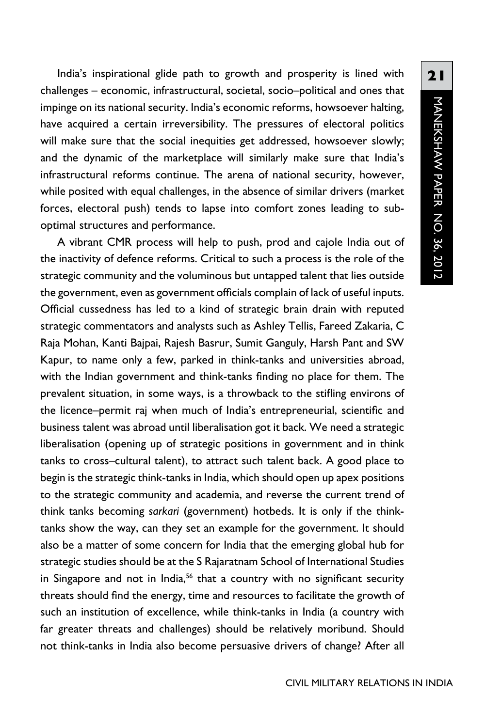India's inspirational glide path to growth and prosperity is lined with challenges – economic, infrastructural, societal, socio–political and ones that impinge on its national security. India's economic reforms, howsoever halting, have acquired a certain irreversibility. The pressures of electoral politics will make sure that the social inequities get addressed, howsoever slowly; and the dynamic of the marketplace will similarly make sure that India's infrastructural reforms continue. The arena of national security, however, while posited with equal challenges, in the absence of similar drivers (market forces, electoral push) tends to lapse into comfort zones leading to suboptimal structures and performance.

A vibrant CMR process will help to push, prod and cajole India out of the inactivity of defence reforms. Critical to such a process is the role of the strategic community and the voluminous but untapped talent that lies outside the government, even as government officials complain of lack of useful inputs. Official cussedness has led to a kind of strategic brain drain with reputed strategic commentators and analysts such as Ashley Tellis, Fareed Zakaria, C Raja Mohan, Kanti Bajpai, Rajesh Basrur, Sumit Ganguly, Harsh Pant and SW Kapur, to name only a few, parked in think-tanks and universities abroad, with the Indian government and think-tanks finding no place for them. The prevalent situation, in some ways, is a throwback to the stifling environs of the licence–permit raj when much of India's entrepreneurial, scientific and business talent was abroad until liberalisation got it back. We need a strategic liberalisation (opening up of strategic positions in government and in think tanks to cross–cultural talent), to attract such talent back. A good place to begin is the strategic think-tanks in India, which should open up apex positions to the strategic community and academia, and reverse the current trend of think tanks becoming *sarkari* (government) hotbeds. It is only if the thinktanks show the way, can they set an example for the government. It should also be a matter of some concern for India that the emerging global hub for strategic studies should be at the S Rajaratnam School of International Studies in Singapore and not in India,<sup>56</sup> that a country with no significant security threats should find the energy, time and resources to facilitate the growth of such an institution of excellence, while think-tanks in India (a country with far greater threats and challenges) should be relatively moribund. Should not think-tanks in India also become persuasive drivers of change? After all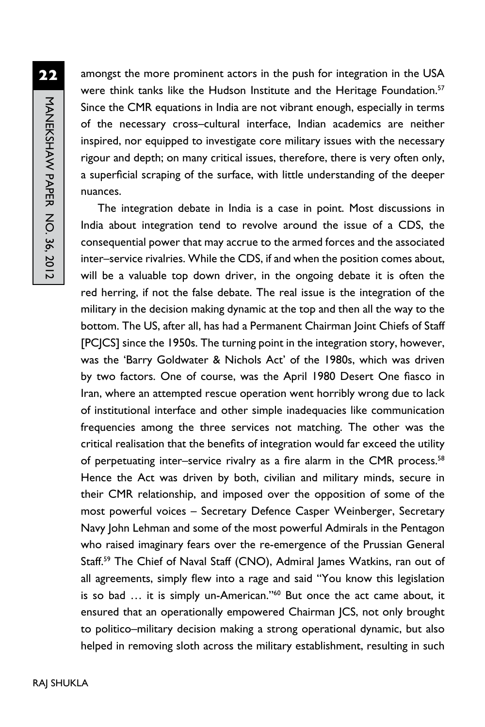amongst the more prominent actors in the push for integration in the USA were think tanks like the Hudson Institute and the Heritage Foundation.<sup>57</sup> Since the CMR equations in India are not vibrant enough, especially in terms of the necessary cross–cultural interface, Indian academics are neither inspired, nor equipped to investigate core military issues with the necessary rigour and depth; on many critical issues, therefore, there is very often only, a superficial scraping of the surface, with little understanding of the deeper nuances.

The integration debate in India is a case in point. Most discussions in India about integration tend to revolve around the issue of a CDS, the consequential power that may accrue to the armed forces and the associated inter–service rivalries. While the CDS, if and when the position comes about, will be a valuable top down driver, in the ongoing debate it is often the red herring, if not the false debate. The real issue is the integration of the military in the decision making dynamic at the top and then all the way to the bottom. The US, after all, has had a Permanent Chairman Joint Chiefs of Staff [PCJCS] since the 1950s. The turning point in the integration story, however, was the 'Barry Goldwater & Nichols Act' of the 1980s, which was driven by two factors. One of course, was the April 1980 Desert One fiasco in Iran, where an attempted rescue operation went horribly wrong due to lack of institutional interface and other simple inadequacies like communication frequencies among the three services not matching. The other was the critical realisation that the benefits of integration would far exceed the utility of perpetuating inter-service rivalry as a fire alarm in the CMR process.<sup>58</sup> Hence the Act was driven by both, civilian and military minds, secure in their CMR relationship, and imposed over the opposition of some of the most powerful voices – Secretary Defence Casper Weinberger, Secretary Navy John Lehman and some of the most powerful Admirals in the Pentagon who raised imaginary fears over the re-emergence of the Prussian General Staff.<sup>59</sup> The Chief of Naval Staff (CNO), Admiral James Watkins, ran out of all agreements, simply flew into a rage and said "You know this legislation is so bad ... it is simply un-American."<sup>60</sup> But once the act came about, it ensured that an operationally empowered Chairman JCS, not only brought to politico–military decision making a strong operational dynamic, but also helped in removing sloth across the military establishment, resulting in such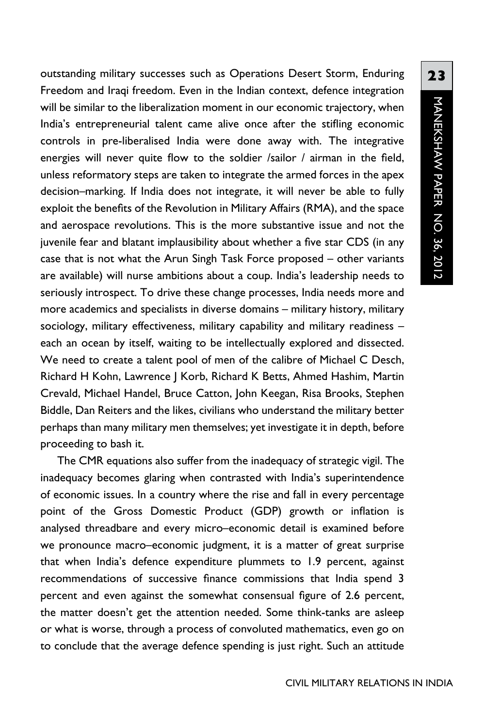outstanding military successes such as Operations Desert Storm, Enduring Freedom and Iraqi freedom. Even in the Indian context, defence integration will be similar to the liberalization moment in our economic trajectory, when India's entrepreneurial talent came alive once after the stifling economic controls in pre-liberalised India were done away with. The integrative energies will never quite flow to the soldier /sailor / airman in the field, unless reformatory steps are taken to integrate the armed forces in the apex decision–marking. If India does not integrate, it will never be able to fully exploit the benefits of the Revolution in Military Affairs (RMA), and the space and aerospace revolutions. This is the more substantive issue and not the juvenile fear and blatant implausibility about whether a five star CDS (in any case that is not what the Arun Singh Task Force proposed – other variants are available) will nurse ambitions about a coup. India's leadership needs to seriously introspect. To drive these change processes, India needs more and more academics and specialists in diverse domains – military history, military sociology, military effectiveness, military capability and military readiness – each an ocean by itself, waiting to be intellectually explored and dissected. We need to create a talent pool of men of the calibre of Michael C Desch, Richard H Kohn, Lawrence J Korb, Richard K Betts, Ahmed Hashim, Martin Crevald, Michael Handel, Bruce Catton, John Keegan, Risa Brooks, Stephen Biddle, Dan Reiters and the likes, civilians who understand the military better perhaps than many military men themselves; yet investigate it in depth, before proceeding to bash it.

The CMR equations also suffer from the inadequacy of strategic vigil. The inadequacy becomes glaring when contrasted with India's superintendence of economic issues. In a country where the rise and fall in every percentage point of the Gross Domestic Product (GDP) growth or inflation is analysed threadbare and every micro–economic detail is examined before we pronounce macro–economic judgment, it is a matter of great surprise that when India's defence expenditure plummets to 1.9 percent, against recommendations of successive finance commissions that India spend 3 percent and even against the somewhat consensual figure of 2.6 percent, the matter doesn't get the attention needed. Some think-tanks are asleep or what is worse, through a process of convoluted mathematics, even go on to conclude that the average defence spending is just right. Such an attitude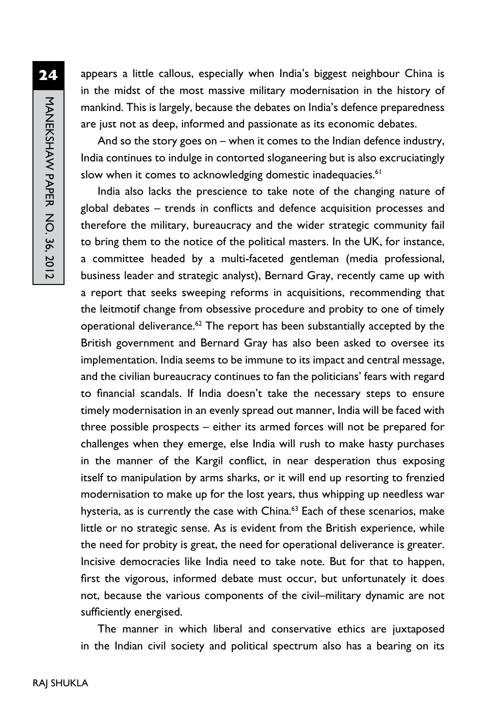MANEKSHAW PAPER NO. 36, 2012 MANEKSHAW PAPER No. 36, 2012

**24**

appears a little callous, especially when India's biggest neighbour China is in the midst of the most massive military modernisation in the history of mankind. This is largely, because the debates on India's defence preparedness are just not as deep, informed and passionate as its economic debates.

And so the story goes on – when it comes to the Indian defence industry, India continues to indulge in contorted sloganeering but is also excruciatingly slow when it comes to acknowledging domestic inadequacies.<sup>61</sup>

India also lacks the prescience to take note of the changing nature of global debates – trends in conflicts and defence acquisition processes and therefore the military, bureaucracy and the wider strategic community fail to bring them to the notice of the political masters. In the UK, for instance, a committee headed by a multi-faceted gentleman (media professional, business leader and strategic analyst), Bernard Gray, recently came up with a report that seeks sweeping reforms in acquisitions, recommending that the leitmotif change from obsessive procedure and probity to one of timely operational deliverance. $62$  The report has been substantially accepted by the British government and Bernard Gray has also been asked to oversee its implementation. India seems to be immune to its impact and central message, and the civilian bureaucracy continues to fan the politicians' fears with regard to financial scandals. If India doesn't take the necessary steps to ensure timely modernisation in an evenly spread out manner, India will be faced with three possible prospects – either its armed forces will not be prepared for challenges when they emerge, else India will rush to make hasty purchases in the manner of the Kargil conflict, in near desperation thus exposing itself to manipulation by arms sharks, or it will end up resorting to frenzied modernisation to make up for the lost years, thus whipping up needless war hysteria, as is currently the case with China.<sup>63</sup> Each of these scenarios, make little or no strategic sense. As is evident from the British experience, while the need for probity is great, the need for operational deliverance is greater. Incisive democracies like India need to take note. But for that to happen, first the vigorous, informed debate must occur, but unfortunately it does not, because the various components of the civil–military dynamic are not sufficiently energised.

The manner in which liberal and conservative ethics are juxtaposed in the Indian civil society and political spectrum also has a bearing on its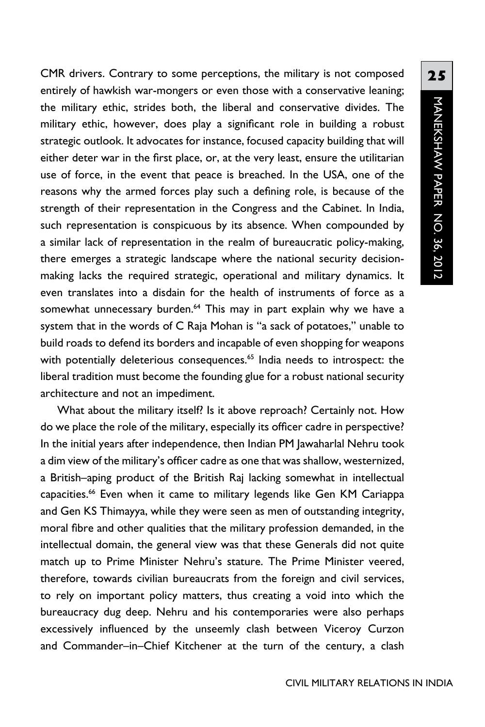CMR drivers. Contrary to some perceptions, the military is not composed entirely of hawkish war-mongers or even those with a conservative leaning; the military ethic, strides both, the liberal and conservative divides. The military ethic, however, does play a significant role in building a robust strategic outlook. It advocates for instance, focused capacity building that will either deter war in the first place, or, at the very least, ensure the utilitarian use of force, in the event that peace is breached. In the USA, one of the reasons why the armed forces play such a defining role, is because of the strength of their representation in the Congress and the Cabinet. In India, such representation is conspicuous by its absence. When compounded by a similar lack of representation in the realm of bureaucratic policy-making, there emerges a strategic landscape where the national security decisionmaking lacks the required strategic, operational and military dynamics. It even translates into a disdain for the health of instruments of force as a somewhat unnecessary burden.<sup>64</sup> This may in part explain why we have a system that in the words of C Raja Mohan is "a sack of potatoes," unable to build roads to defend its borders and incapable of even shopping for weapons with potentially deleterious consequences.<sup>65</sup> India needs to introspect: the liberal tradition must become the founding glue for a robust national security architecture and not an impediment.

What about the military itself? Is it above reproach? Certainly not. How do we place the role of the military, especially its officer cadre in perspective? In the initial years after independence, then Indian PM Jawaharlal Nehru took a dim view of the military's officer cadre as one that was shallow, westernized, a British–aping product of the British Raj lacking somewhat in intellectual capacities.<sup>66</sup> Even when it came to military legends like Gen KM Cariappa and Gen KS Thimayya, while they were seen as men of outstanding integrity, moral fibre and other qualities that the military profession demanded, in the intellectual domain, the general view was that these Generals did not quite match up to Prime Minister Nehru's stature. The Prime Minister veered, therefore, towards civilian bureaucrats from the foreign and civil services, to rely on important policy matters, thus creating a void into which the bureaucracy dug deep. Nehru and his contemporaries were also perhaps excessively influenced by the unseemly clash between Viceroy Curzon and Commander–in–Chief Kitchener at the turn of the century, a clash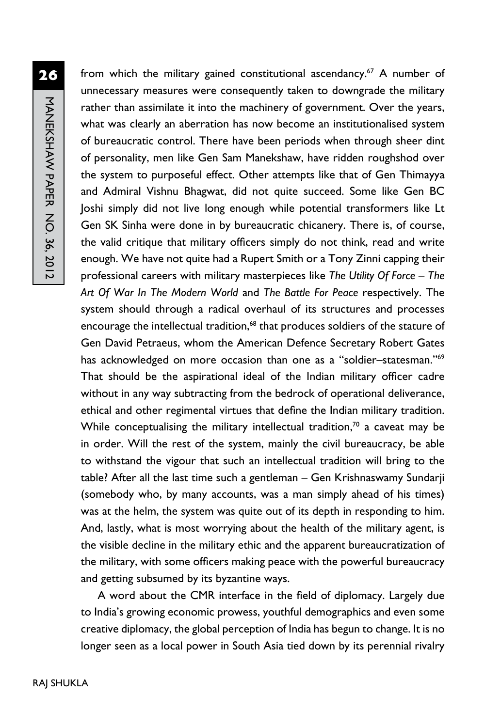from which the military gained constitutional ascendancy.<sup>67</sup> A number of unnecessary measures were consequently taken to downgrade the military rather than assimilate it into the machinery of government. Over the years, what was clearly an aberration has now become an institutionalised system of bureaucratic control. There have been periods when through sheer dint of personality, men like Gen Sam Manekshaw, have ridden roughshod over the system to purposeful effect. Other attempts like that of Gen Thimayya and Admiral Vishnu Bhagwat, did not quite succeed. Some like Gen BC Joshi simply did not live long enough while potential transformers like Lt Gen SK Sinha were done in by bureaucratic chicanery. There is, of course, the valid critique that military officers simply do not think, read and write enough. We have not quite had a Rupert Smith or a Tony Zinni capping their professional careers with military masterpieces like *The Utility Of Force – The Art Of War In The Modern World* and *The Battle For Peace* respectively. The system should through a radical overhaul of its structures and processes encourage the intellectual tradition,<sup>68</sup> that produces soldiers of the stature of Gen David Petraeus, whom the American Defence Secretary Robert Gates has acknowledged on more occasion than one as a "soldier-statesman."<sup>69</sup> That should be the aspirational ideal of the Indian military officer cadre without in any way subtracting from the bedrock of operational deliverance, ethical and other regimental virtues that define the Indian military tradition. While conceptualising the military intellectual tradition, $70$  a caveat may be in order. Will the rest of the system, mainly the civil bureaucracy, be able to withstand the vigour that such an intellectual tradition will bring to the table? After all the last time such a gentleman – Gen Krishnaswamy Sundarji (somebody who, by many accounts, was a man simply ahead of his times) was at the helm, the system was quite out of its depth in responding to him. And, lastly, what is most worrying about the health of the military agent, is the visible decline in the military ethic and the apparent bureaucratization of the military, with some officers making peace with the powerful bureaucracy and getting subsumed by its byzantine ways.

A word about the CMR interface in the field of diplomacy. Largely due to India's growing economic prowess, youthful demographics and even some creative diplomacy, the global perception of India has begun to change. It is no longer seen as a local power in South Asia tied down by its perennial rivalry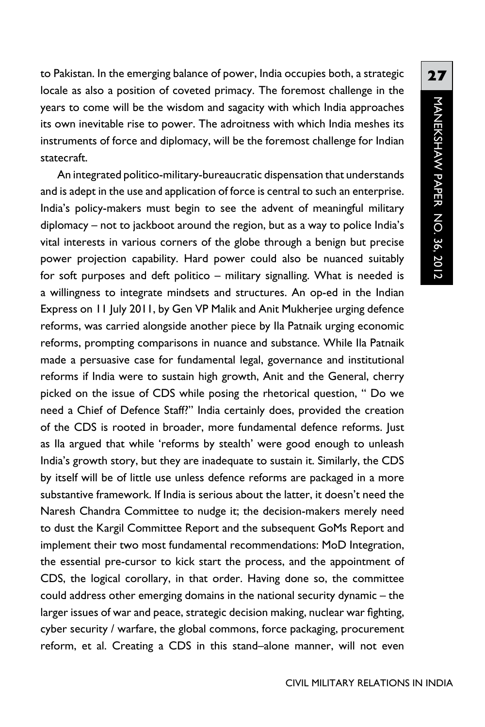to Pakistan. In the emerging balance of power, India occupies both, a strategic locale as also a position of coveted primacy. The foremost challenge in the years to come will be the wisdom and sagacity with which India approaches its own inevitable rise to power. The adroitness with which India meshes its instruments of force and diplomacy, will be the foremost challenge for Indian statecraft.

An integrated politico-military-bureaucratic dispensation that understands and is adept in the use and application of force is central to such an enterprise. India's policy-makers must begin to see the advent of meaningful military diplomacy – not to jackboot around the region, but as a way to police India's vital interests in various corners of the globe through a benign but precise power projection capability. Hard power could also be nuanced suitably for soft purposes and deft politico – military signalling. What is needed is a willingness to integrate mindsets and structures. An op-ed in the Indian Express on 11 July 2011, by Gen VP Malik and Anit Mukherjee urging defence reforms, was carried alongside another piece by Ila Patnaik urging economic reforms, prompting comparisons in nuance and substance. While Ila Patnaik made a persuasive case for fundamental legal, governance and institutional reforms if India were to sustain high growth, Anit and the General, cherry picked on the issue of CDS while posing the rhetorical question, " Do we need a Chief of Defence Staff?" India certainly does, provided the creation of the CDS is rooted in broader, more fundamental defence reforms. Just as Ila argued that while 'reforms by stealth' were good enough to unleash India's growth story, but they are inadequate to sustain it. Similarly, the CDS by itself will be of little use unless defence reforms are packaged in a more substantive framework. If India is serious about the latter, it doesn't need the Naresh Chandra Committee to nudge it; the decision-makers merely need to dust the Kargil Committee Report and the subsequent GoMs Report and implement their two most fundamental recommendations: MoD Integration, the essential pre-cursor to kick start the process, and the appointment of CDS, the logical corollary, in that order. Having done so, the committee could address other emerging domains in the national security dynamic – the larger issues of war and peace, strategic decision making, nuclear war fighting, cyber security / warfare, the global commons, force packaging, procurement reform, et al. Creating a CDS in this stand–alone manner, will not even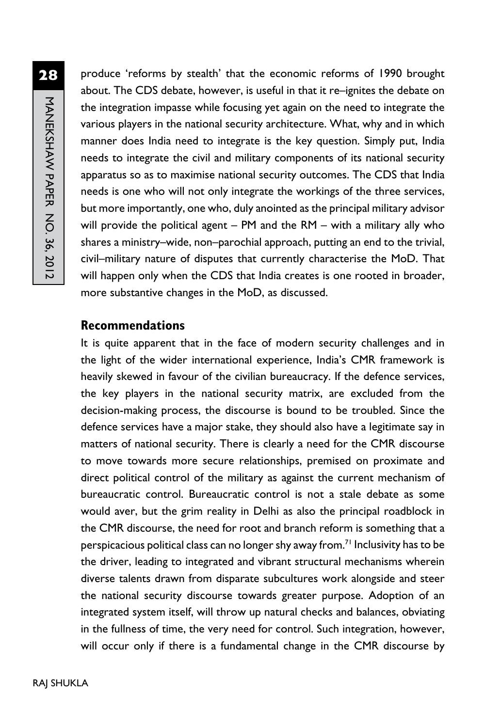produce 'reforms by stealth' that the economic reforms of 1990 brought about. The CDS debate, however, is useful in that it re–ignites the debate on the integration impasse while focusing yet again on the need to integrate the various players in the national security architecture. What, why and in which manner does India need to integrate is the key question. Simply put, India needs to integrate the civil and military components of its national security apparatus so as to maximise national security outcomes. The CDS that India needs is one who will not only integrate the workings of the three services, but more importantly, one who, duly anointed as the principal military advisor will provide the political agent – PM and the RM – with a military ally who shares a ministry–wide, non–parochial approach, putting an end to the trivial, civil–military nature of disputes that currently characterise the MoD. That will happen only when the CDS that India creates is one rooted in broader, more substantive changes in the MoD, as discussed.

### **Recommendations**

It is quite apparent that in the face of modern security challenges and in the light of the wider international experience, India's CMR framework is heavily skewed in favour of the civilian bureaucracy. If the defence services, the key players in the national security matrix, are excluded from the decision-making process, the discourse is bound to be troubled. Since the defence services have a major stake, they should also have a legitimate say in matters of national security. There is clearly a need for the CMR discourse to move towards more secure relationships, premised on proximate and direct political control of the military as against the current mechanism of bureaucratic control. Bureaucratic control is not a stale debate as some would aver, but the grim reality in Delhi as also the principal roadblock in the CMR discourse, the need for root and branch reform is something that a perspicacious political class can no longer shy away from.<sup>71</sup> Inclusivity has to be the driver, leading to integrated and vibrant structural mechanisms wherein diverse talents drawn from disparate subcultures work alongside and steer the national security discourse towards greater purpose. Adoption of an integrated system itself, will throw up natural checks and balances, obviating in the fullness of time, the very need for control. Such integration, however, will occur only if there is a fundamental change in the CMR discourse by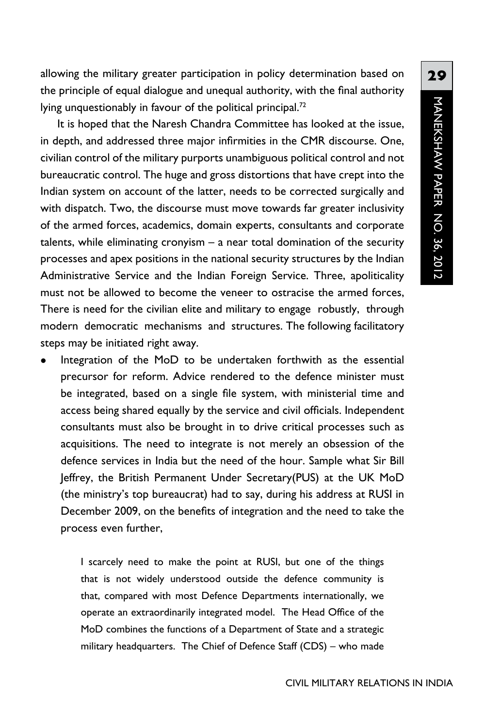allowing the military greater participation in policy determination based on the principle of equal dialogue and unequal authority, with the final authority lying unquestionably in favour of the political principal.<sup>72</sup>

It is hoped that the Naresh Chandra Committee has looked at the issue, in depth, and addressed three major infirmities in the CMR discourse. One, civilian control of the military purports unambiguous political control and not bureaucratic control. The huge and gross distortions that have crept into the Indian system on account of the latter, needs to be corrected surgically and with dispatch. Two, the discourse must move towards far greater inclusivity of the armed forces, academics, domain experts, consultants and corporate talents, while eliminating cronyism – a near total domination of the security processes and apex positions in the national security structures by the Indian Administrative Service and the Indian Foreign Service. Three, apoliticality must not be allowed to become the veneer to ostracise the armed forces, There is need for the civilian elite and military to engage robustly, through modern democratic mechanisms and structures. The following facilitatory steps may be initiated right away.

Integration of the MoD to be undertaken forthwith as the essential precursor for reform. Advice rendered to the defence minister must be integrated, based on a single file system, with ministerial time and access being shared equally by the service and civil officials. Independent consultants must also be brought in to drive critical processes such as acquisitions. The need to integrate is not merely an obsession of the defence services in India but the need of the hour. Sample what Sir Bill Jeffrey, the British Permanent Under Secretary(PUS) at the UK MoD (the ministry's top bureaucrat) had to say, during his address at RUSI in December 2009, on the benefits of integration and the need to take the process even further,

> I scarcely need to make the point at RUSI, but one of the things that is not widely understood outside the defence community is that, compared with most Defence Departments internationally, we operate an extraordinarily integrated model. The Head Office of the MoD combines the functions of a Department of State and a strategic military headquarters. The Chief of Defence Staff (CDS) – who made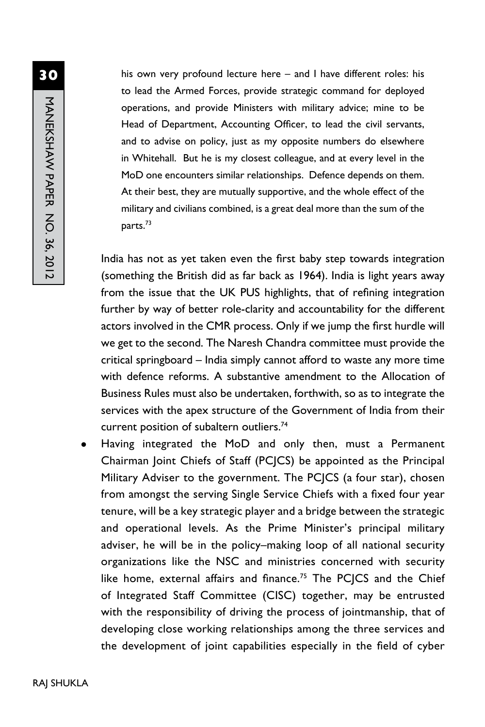his own very profound lecture here – and I have different roles: his to lead the Armed Forces, provide strategic command for deployed operations, and provide Ministers with military advice; mine to be Head of Department, Accounting Officer, to lead the civil servants, and to advise on policy, just as my opposite numbers do elsewhere in Whitehall. But he is my closest colleague, and at every level in the MoD one encounters similar relationships. Defence depends on them. At their best, they are mutually supportive, and the whole effect of the military and civilians combined, is a great deal more than the sum of the parts.73

India has not as yet taken even the first baby step towards integration (something the British did as far back as 1964). India is light years away from the issue that the UK PUS highlights, that of refining integration further by way of better role-clarity and accountability for the different actors involved in the CMR process. Only if we jump the first hurdle will we get to the second. The Naresh Chandra committee must provide the critical springboard – India simply cannot afford to waste any more time with defence reforms. A substantive amendment to the Allocation of Business Rules must also be undertaken, forthwith, so as to integrate the services with the apex structure of the Government of India from their current position of subaltern outliers.74

Having integrated the MoD and only then, must a Permanent Chairman Joint Chiefs of Staff (PCJCS) be appointed as the Principal Military Adviser to the government. The PCJCS (a four star), chosen from amongst the serving Single Service Chiefs with a fixed four year tenure, will be a key strategic player and a bridge between the strategic and operational levels. As the Prime Minister's principal military adviser, he will be in the policy–making loop of all national security organizations like the NSC and ministries concerned with security like home, external affairs and finance.<sup>75</sup> The PCJCS and the Chief of Integrated Staff Committee (CISC) together, may be entrusted with the responsibility of driving the process of jointmanship, that of developing close working relationships among the three services and the development of joint capabilities especially in the field of cyber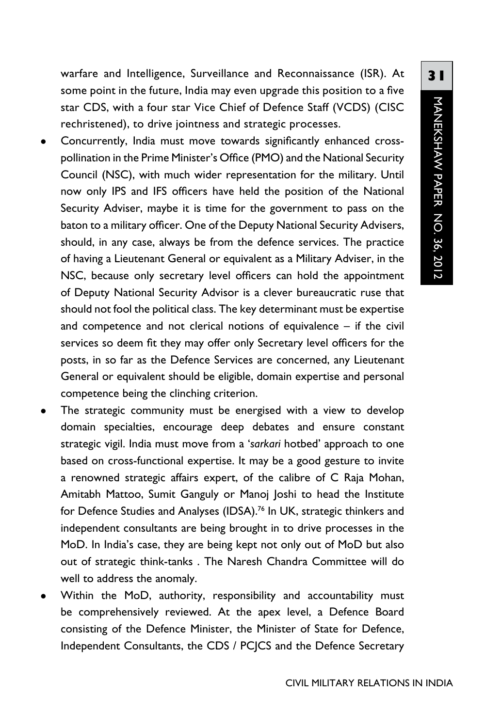warfare and Intelligence, Surveillance and Reconnaissance (ISR). At some point in the future, India may even upgrade this position to a five star CDS, with a four star Vice Chief of Defence Staff (VCDS) (CISC rechristened), to drive jointness and strategic processes.

- Concurrently, India must move towards significantly enhanced crosspollination in the Prime Minister's Office (PMO) and the National Security Council (NSC), with much wider representation for the military. Until now only IPS and IFS officers have held the position of the National Security Adviser, maybe it is time for the government to pass on the baton to a military officer. One of the Deputy National Security Advisers, should, in any case, always be from the defence services. The practice of having a Lieutenant General or equivalent as a Military Adviser, in the NSC, because only secretary level officers can hold the appointment of Deputy National Security Advisor is a clever bureaucratic ruse that should not fool the political class. The key determinant must be expertise and competence and not clerical notions of equivalence – if the civil services so deem fit they may offer only Secretary level officers for the posts, in so far as the Defence Services are concerned, any Lieutenant General or equivalent should be eligible, domain expertise and personal competence being the clinching criterion.
- The strategic community must be energised with a view to develop domain specialties, encourage deep debates and ensure constant strategic vigil. India must move from a '*sarkari* hotbed' approach to one based on cross-functional expertise. It may be a good gesture to invite a renowned strategic affairs expert, of the calibre of C Raja Mohan, Amitabh Mattoo, Sumit Ganguly or Manoj Joshi to head the Institute for Defence Studies and Analyses (IDSA).<sup>76</sup> In UK, strategic thinkers and independent consultants are being brought in to drive processes in the MoD. In India's case, they are being kept not only out of MoD but also out of strategic think-tanks . The Naresh Chandra Committee will do well to address the anomaly.
- Within the MoD, authority, responsibility and accountability must be comprehensively reviewed. At the apex level, a Defence Board consisting of the Defence Minister, the Minister of State for Defence, Independent Consultants, the CDS / PCJCS and the Defence Secretary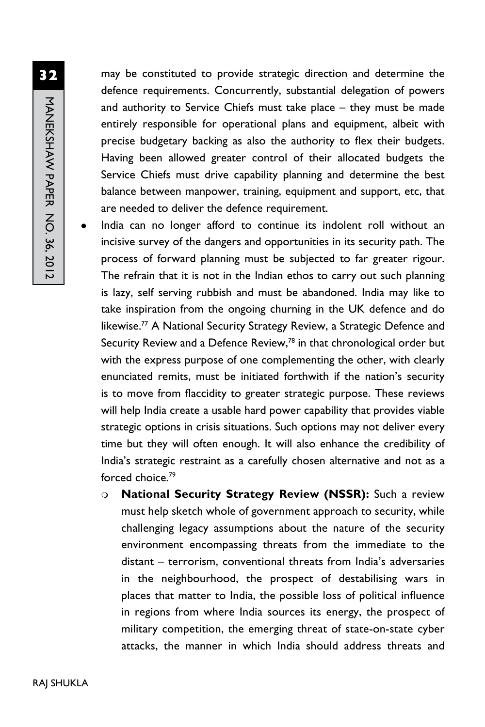may be constituted to provide strategic direction and determine the defence requirements. Concurrently, substantial delegation of powers and authority to Service Chiefs must take place – they must be made entirely responsible for operational plans and equipment, albeit with precise budgetary backing as also the authority to flex their budgets. Having been allowed greater control of their allocated budgets the Service Chiefs must drive capability planning and determine the best balance between manpower, training, equipment and support, etc, that are needed to deliver the defence requirement.

- India can no longer afford to continue its indolent roll without an incisive survey of the dangers and opportunities in its security path. The process of forward planning must be subjected to far greater rigour. The refrain that it is not in the Indian ethos to carry out such planning is lazy, self serving rubbish and must be abandoned. India may like to take inspiration from the ongoing churning in the UK defence and do likewise.<sup>77</sup> A National Security Strategy Review, a Strategic Defence and Security Review and a Defence Review,<sup>78</sup> in that chronological order but with the express purpose of one complementing the other, with clearly enunciated remits, must be initiated forthwith if the nation's security is to move from flaccidity to greater strategic purpose. These reviews will help India create a usable hard power capability that provides viable strategic options in crisis situations. Such options may not deliver every time but they will often enough. It will also enhance the credibility of India's strategic restraint as a carefully chosen alternative and not as a forced choice.79
	- <sup>m</sup> **National Security Strategy Review (NSSR):** Such a review must help sketch whole of government approach to security, while challenging legacy assumptions about the nature of the security environment encompassing threats from the immediate to the distant – terrorism, conventional threats from India's adversaries in the neighbourhood, the prospect of destabilising wars in places that matter to India, the possible loss of political influence in regions from where India sources its energy, the prospect of military competition, the emerging threat of state-on-state cyber attacks, the manner in which India should address threats and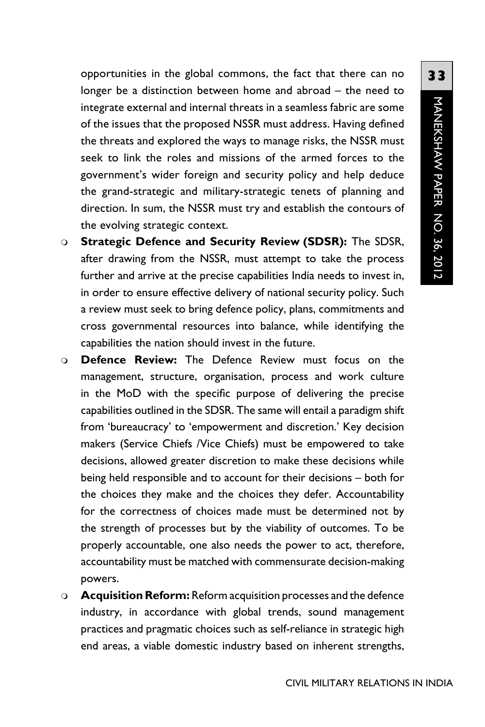opportunities in the global commons, the fact that there can no longer be a distinction between home and abroad – the need to integrate external and internal threats in a seamless fabric are some of the issues that the proposed NSSR must address. Having defined the threats and explored the ways to manage risks, the NSSR must seek to link the roles and missions of the armed forces to the government's wider foreign and security policy and help deduce the grand-strategic and military-strategic tenets of planning and direction. In sum, the NSSR must try and establish the contours of the evolving strategic context.

- <sup>m</sup> **Strategic Defence and Security Review (SDSR):** The SDSR, after drawing from the NSSR, must attempt to take the process further and arrive at the precise capabilities India needs to invest in, in order to ensure effective delivery of national security policy. Such a review must seek to bring defence policy, plans, commitments and cross governmental resources into balance, while identifying the capabilities the nation should invest in the future.
- <sup>m</sup> **Defence Review:** The Defence Review must focus on the management, structure, organisation, process and work culture in the MoD with the specific purpose of delivering the precise capabilities outlined in the SDSR. The same will entail a paradigm shift from 'bureaucracy' to 'empowerment and discretion.' Key decision makers (Service Chiefs /Vice Chiefs) must be empowered to take decisions, allowed greater discretion to make these decisions while being held responsible and to account for their decisions – both for the choices they make and the choices they defer. Accountability for the correctness of choices made must be determined not by the strength of processes but by the viability of outcomes. To be properly accountable, one also needs the power to act, therefore, accountability must be matched with commensurate decision-making powers.
- **Acquisition Reform:** Reform acquisition processes and the defence industry, in accordance with global trends, sound management practices and pragmatic choices such as self-reliance in strategic high end areas, a viable domestic industry based on inherent strengths,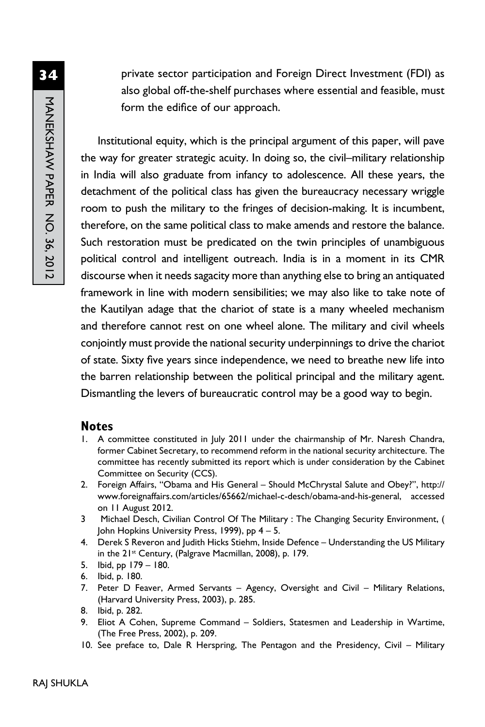MANEKSHAW PAPER NO. 36, 2012 MANEKSHAW PAPER No. 36, 2012

**34**

private sector participation and Foreign Direct Investment (FDI) as also global off-the-shelf purchases where essential and feasible, must form the edifice of our approach.

Institutional equity, which is the principal argument of this paper, will pave the way for greater strategic acuity. In doing so, the civil–military relationship in India will also graduate from infancy to adolescence. All these years, the detachment of the political class has given the bureaucracy necessary wriggle room to push the military to the fringes of decision-making. It is incumbent, therefore, on the same political class to make amends and restore the balance. Such restoration must be predicated on the twin principles of unambiguous political control and intelligent outreach. India is in a moment in its CMR discourse when it needs sagacity more than anything else to bring an antiquated framework in line with modern sensibilities; we may also like to take note of the Kautilyan adage that the chariot of state is a many wheeled mechanism and therefore cannot rest on one wheel alone. The military and civil wheels conjointly must provide the national security underpinnings to drive the chariot of state. Sixty five years since independence, we need to breathe new life into the barren relationship between the political principal and the military agent. Dismantling the levers of bureaucratic control may be a good way to begin.

#### **Notes**

- 1. A committee constituted in July 2011 under the chairmanship of Mr. Naresh Chandra, former Cabinet Secretary, to recommend reform in the national security architecture. The committee has recently submitted its report which is under consideration by the Cabinet Committee on Security (CCS).
- 2. Foreign Affairs, "Obama and His General Should McChrystal Salute and Obey?", http:// www.foreignaffairs.com/articles/65662/michael-c-desch/obama-and-his-general, accessed on 11 August 2012.
- 3 Michael Desch, Civilian Control Of The Military : The Changing Security Environment, ( John Hopkins University Press, 1999), pp  $4 - 5$ .
- 4. Derek S Reveron and Judith Hicks Stiehm, Inside Defence Understanding the US Military in the 21<sup>st</sup> Century, (Palgrave Macmillan, 2008), p. 179.
- 5. Ibid, pp 179 180.
- 6. Ibid, p. 180.
- 7. Peter D Feaver, Armed Servants Agency, Oversight and Civil Military Relations, (Harvard University Press, 2003), p. 285.
- 8. Ibid, p. 282.
- 9. Eliot A Cohen, Supreme Command Soldiers, Statesmen and Leadership in Wartime, (The Free Press, 2002), p. 209.
- 10. See preface to, Dale R Herspring, The Pentagon and the Presidency, Civil Military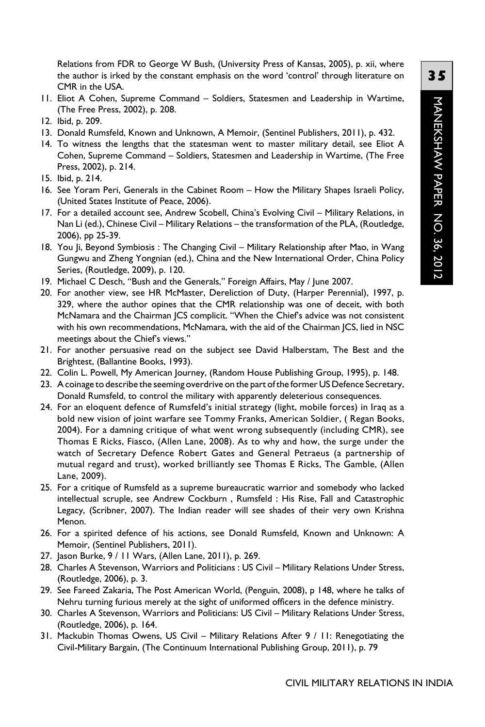Relations from FDR to George W Bush, (University Press of Kansas, 2005), p. xii, where the author is irked by the constant emphasis on the word 'control' through literature on CMR in the USA.

- 11. Eliot A Cohen, Supreme Command Soldiers, Statesmen and Leadership in Wartime, (The Free Press, 2002), p. 208.
- 12. Ibid, p. 209.
- 13. Donald Rumsfeld, Known and Unknown, A Memoir, (Sentinel Publishers, 2011), p. 432.
- 14. To witness the lengths that the statesman went to master military detail, see Eliot A Cohen, Supreme Command – Soldiers, Statesmen and Leadership in Wartime, (The Free Press, 2002), p. 214.
- 15. Ibid, p. 214.
- 16. See Yoram Peri, Generals in the Cabinet Room How the Military Shapes Israeli Policy, (United States Institute of Peace, 2006).
- 17. For a detailed account see, Andrew Scobell, China's Evolving Civil Military Relations, in Nan Li (ed.), Chinese Civil – Military Relations – the transformation of the PLA, (Routledge, 2006), pp 25-39.
- 18. You Ji, Beyond Symbiosis : The Changing Civil Military Relationship after Mao, in Wang Gungwu and Zheng Yongnian (ed.), China and the New International Order, China Policy Series, (Routledge, 2009), p. 120.
- 19. Michael C Desch, "Bush and the Generals," Foreign Affairs, May / June 2007.
- 20. For another view, see HR McMaster, Dereliction of Duty, (Harper Perennial), 1997, p. 329, where the author opines that the CMR relationship was one of deceit, with both McNamara and the Chairman JCS complicit. "When the Chief's advice was not consistent with his own recommendations, McNamara, with the aid of the Chairman JCS, lied in NSC meetings about the Chief's views."
- 21. For another persuasive read on the subject see David Halberstam, The Best and the Brightest, (Ballantine Books, 1993).
- 22. Colin L. Powell, My American Journey, (Random House Publishing Group, 1995), p. 148.
- 23. A coinage to describe the seeming overdrive on the part of the former US Defence Secretary, Donald Rumsfeld, to control the military with apparently deleterious consequences.
- 24. For an eloquent defence of Rumsfeld's initial strategy (light, mobile forces) in Iraq as a bold new vision of joint warfare see Tommy Franks, American Soldier, ( Regan Books, 2004). For a damning critique of what went wrong subsequently (including CMR), see Thomas E Ricks, Fiasco, (Allen Lane, 2008). As to why and how, the surge under the watch of Secretary Defence Robert Gates and General Petraeus (a partnership of mutual regard and trust), worked brilliantly see Thomas E Ricks, The Gamble, (Allen Lane, 2009).
- 25. For a critique of Rumsfeld as a supreme bureaucratic warrior and somebody who lacked intellectual scruple, see Andrew Cockburn , Rumsfeld : His Rise, Fall and Catastrophic Legacy, (Scribner, 2007). The Indian reader will see shades of their very own Krishna Menon.
- 26. For a spirited defence of his actions, see Donald Rumsfeld, Known and Unknown: A Memoir, (Sentinel Publishers, 2011).
- 27. Jason Burke, 9 / 11 Wars, (Allen Lane, 2011), p. 269.
- 28. Charles A Stevenson, Warriors and Politicians : US Civil Military Relations Under Stress, (Routledge, 2006), p. 3.
- 29. See Fareed Zakaria, The Post American World, (Penguin, 2008), p 148, where he talks of Nehru turning furious merely at the sight of uniformed officers in the defence ministry.
- 30. Charles A Stevenson, Warriors and Politicians: US Civil Military Relations Under Stress, (Routledge, 2006), p. 164.
- 31. Mackubin Thomas Owens, US Civil Military Relations After 9 / 11: Renegotiating the Civil-Military Bargain, (The Continuum International Publishing Group, 2011), p. 79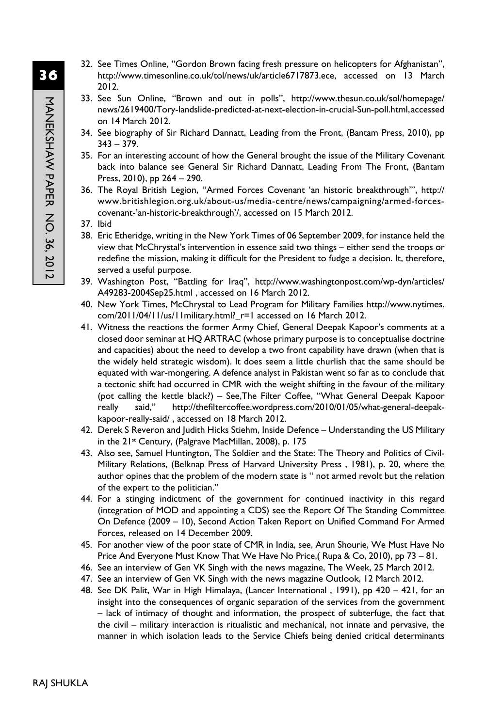- 32. See Times Online, "Gordon Brown facing fresh pressure on helicopters for Afghanistan", http://www.timesonline.co.uk/tol/news/uk/article6717873.ece, accessed on 13 March 2012.
- 33. See Sun Online, "Brown and out in polls", http://www.thesun.co.uk/sol/homepage/ news/2619400/Tory-landslide-predicted-at-next-election-in-crucial-Sun-poll.html, accessed on 14 March 2012.
- 34. See biography of Sir Richard Dannatt, Leading from the Front, (Bantam Press, 2010), pp  $343 - 379.$
- 35. For an interesting account of how the General brought the issue of the Military Covenant back into balance see General Sir Richard Dannatt, Leading From The Front, (Bantam Press, 2010), pp 264 – 290.
- 36. The Royal British Legion, "Armed Forces Covenant 'an historic breakthrough'", http:// www.britishlegion.org.uk/about-us/media-centre/news/campaigning/armed-forcescovenant-'an-historic-breakthrough'/, accessed on 15 March 2012.
- 37. Ibid
- 38. Eric Etheridge, writing in the New York Times of 06 September 2009, for instance held the view that McChrystal's intervention in essence said two things – either send the troops or redefine the mission, making it difficult for the President to fudge a decision. It, therefore, served a useful purpose.
- 39. Washington Post, "Battling for Iraq", http://www.washingtonpost.com/wp-dyn/articles/ A49283-2004Sep25.html , accessed on 16 March 2012.
- 40. New York Times, McChrystal to Lead Program for Military Families http://www.nytimes. com/2011/04/11/us/11military.html?\_r=1 accessed on 16 March 2012.
- 41. Witness the reactions the former Army Chief, General Deepak Kapoor's comments at a closed door seminar at HQ ARTRAC (whose primary purpose is to conceptualise doctrine and capacities) about the need to develop a two front capability have drawn (when that is the widely held strategic wisdom). It does seem a little churlish that the same should be equated with war-mongering. A defence analyst in Pakistan went so far as to conclude that a tectonic shift had occurred in CMR with the weight shifting in the favour of the military (pot calling the kettle black?) – See,The Filter Coffee, "What General Deepak Kapoor really said," http://thefiltercoffee.wordpress.com/2010/01/05/what-general-deepakkapoor-really-said/ , accessed on 18 March 2012.
- 42. Derek S Reveron and Judith Hicks Stiehm, Inside Defence Understanding the US Military in the 21<sup>st</sup> Century, (Palgrave MacMillan, 2008), p. 175
- 43. Also see, Samuel Huntington, The Soldier and the State: The Theory and Politics of Civil-Military Relations, (Belknap Press of Harvard University Press , 1981), p. 20, where the author opines that the problem of the modern state is " not armed revolt but the relation of the expert to the politician."
- 44. For a stinging indictment of the government for continued inactivity in this regard (integration of MOD and appointing a CDS) see the Report Of The Standing Committee On Defence (2009 – 10), Second Action Taken Report on Unified Command For Armed Forces, released on 14 December 2009.
- 45. For another view of the poor state of CMR in India, see, Arun Shourie, We Must Have No Price And Everyone Must Know That We Have No Price,( Rupa & Co, 2010), pp 73 – 81.
- 46. See an interview of Gen VK Singh with the news magazine, The Week, 25 March 2012.
- 47. See an interview of Gen VK Singh with the news magazine Outlook, 12 March 2012.
- 48. See DK Palit, War in High Himalaya, (Lancer International , 1991), pp 420 421, for an insight into the consequences of organic separation of the services from the government – lack of intimacy of thought and information, the prospect of subterfuge, the fact that the civil – military interaction is ritualistic and mechanical, not innate and pervasive, the manner in which isolation leads to the Service Chiefs being denied critical determinants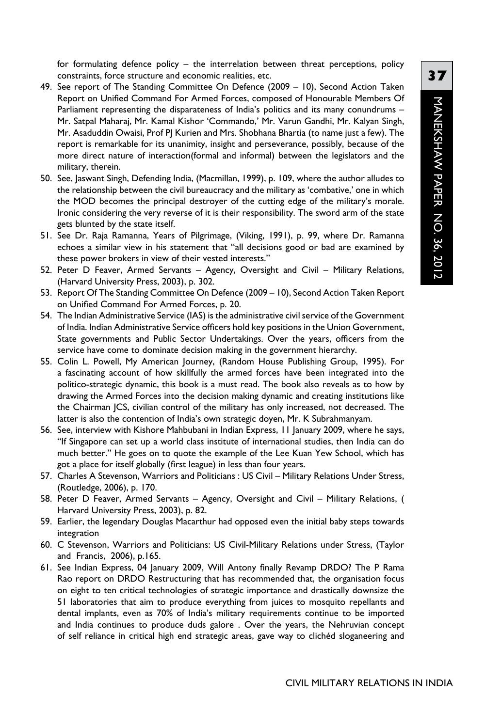for formulating defence policy – the interrelation between threat perceptions, policy constraints, force structure and economic realities, etc.

- 49. See report of The Standing Committee On Defence (2009 10), Second Action Taken Report on Unified Command For Armed Forces, composed of Honourable Members Of Parliament representing the disparateness of India's politics and its many conundrums – Mr. Satpal Maharaj, Mr. Kamal Kishor 'Commando,' Mr. Varun Gandhi, Mr. Kalyan Singh, Mr. Asaduddin Owaisi, Prof PJ Kurien and Mrs. Shobhana Bhartia (to name just a few). The report is remarkable for its unanimity, insight and perseverance, possibly, because of the more direct nature of interaction(formal and informal) between the legislators and the military, therein.
- 50. See, Jaswant Singh, Defending India, (Macmillan, 1999), p. 109, where the author alludes to the relationship between the civil bureaucracy and the military as 'combative,' one in which the MOD becomes the principal destroyer of the cutting edge of the military's morale. Ironic considering the very reverse of it is their responsibility. The sword arm of the state gets blunted by the state itself.
- 51. See Dr. Raja Ramanna, Years of Pilgrimage, (Viking, 1991), p. 99, where Dr. Ramanna echoes a similar view in his statement that "all decisions good or bad are examined by these power brokers in view of their vested interests."
- 52. Peter D Feaver, Armed Servants Agency, Oversight and Civil Military Relations, (Harvard University Press, 2003), p. 302.
- 53. Report Of The Standing Committee On Defence (2009 10), Second Action Taken Report on Unified Command For Armed Forces, p. 20.
- 54. The Indian Administrative Service (IAS) is the administrative civil service of the Government of India. Indian Administrative Service officers hold key positions in the Union Government, State governments and Public Sector Undertakings. Over the years, officers from the service have come to dominate decision making in the government hierarchy.
- 55. Colin L. Powell, My American Journey, (Random House Publishing Group, 1995). For a fascinating account of how skillfully the armed forces have been integrated into the politico-strategic dynamic, this book is a must read. The book also reveals as to how by drawing the Armed Forces into the decision making dynamic and creating institutions like the Chairman JCS, civilian control of the military has only increased, not decreased. The latter is also the contention of India's own strategic doyen, Mr. K Subrahmanyam.
- 56. See, interview with Kishore Mahbubani in Indian Express, 11 January 2009, where he says, "If Singapore can set up a world class institute of international studies, then India can do much better." He goes on to quote the example of the Lee Kuan Yew School, which has got a place for itself globally (first league) in less than four years.
- 57. Charles A Stevenson, Warriors and Politicians : US Civil Military Relations Under Stress, (Routledge, 2006), p. 170.
- 58. Peter D Feaver, Armed Servants Agency, Oversight and Civil Military Relations, ( Harvard University Press, 2003), p. 82.
- 59. Earlier, the legendary Douglas Macarthur had opposed even the initial baby steps towards integration
- 60. C Stevenson, Warriors and Politicians: US Civil-Military Relations under Stress, (Taylor and Francis, 2006), p.165.
- 61. See Indian Express, 04 January 2009, Will Antony finally Revamp DRDO? The P Rama Rao report on DRDO Restructuring that has recommended that, the organisation focus on eight to ten critical technologies of strategic importance and drastically downsize the 51 laboratories that aim to produce everything from juices to mosquito repellants and dental implants, even as 70% of India's military requirements continue to be imported and India continues to produce duds galore . Over the years, the Nehruvian concept of self reliance in critical high end strategic areas, gave way to clichéd sloganeering and